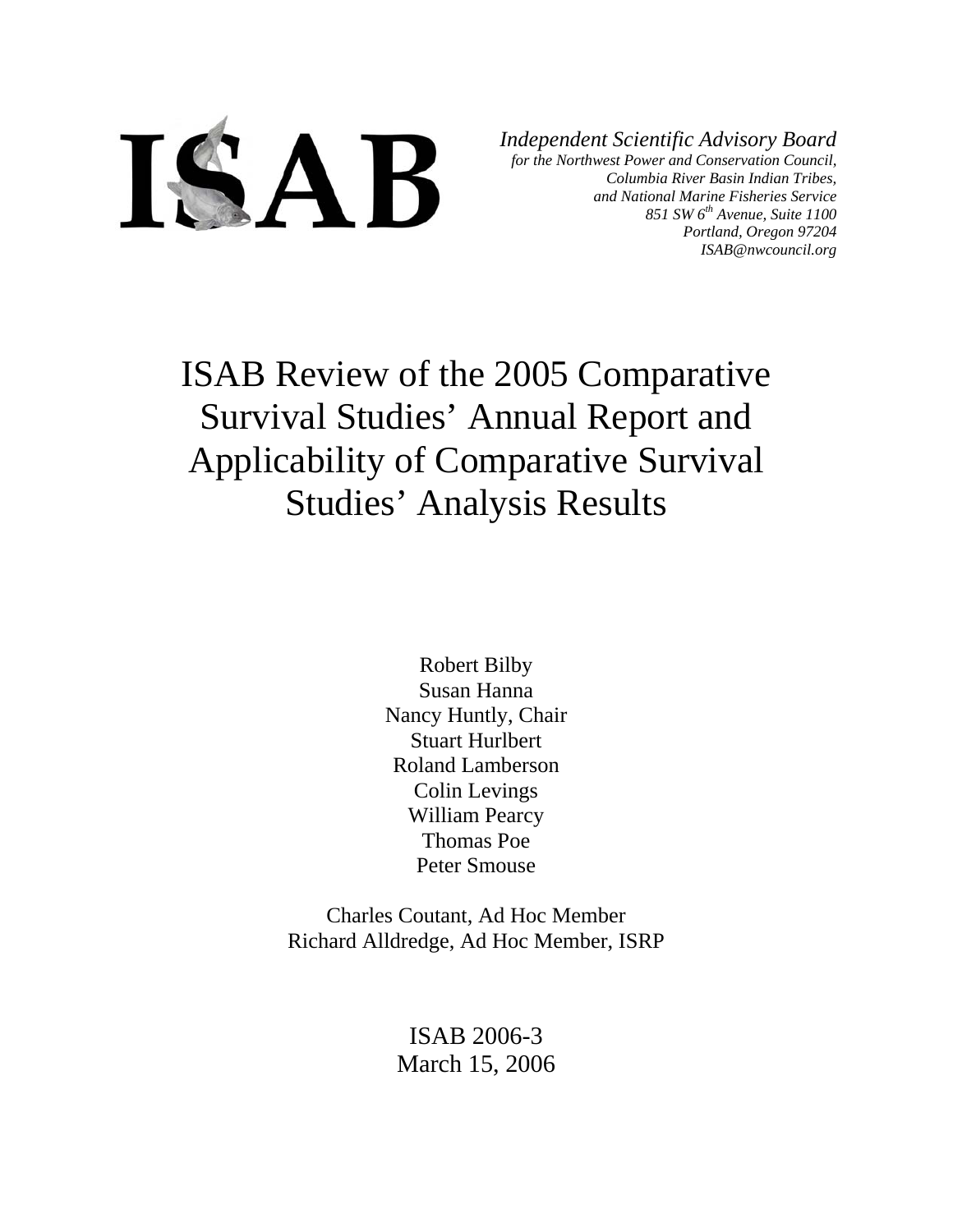

*Independent Scientific Advisory Board for the Northwest Power and Conservation Council, Columbia River Basin Indian Tribes, and National Marine Fisheries Service 851 SW 6th Avenue, Suite 1100 Portland, Oregon 97204 ISAB@nwcouncil.org*

ISAB Review of the 2005 Comparative Survival Studies' Annual Report and Applicability of Comparative Survival Studies' Analysis Results

> Robert Bilby Susan Hanna Nancy Huntly, Chair Stuart Hurlbert Roland Lamberson Colin Levings William Pearcy Thomas Poe Peter Smouse

Charles Coutant, Ad Hoc Member Richard Alldredge, Ad Hoc Member, ISRP

> ISAB 2006-3 March 15, 2006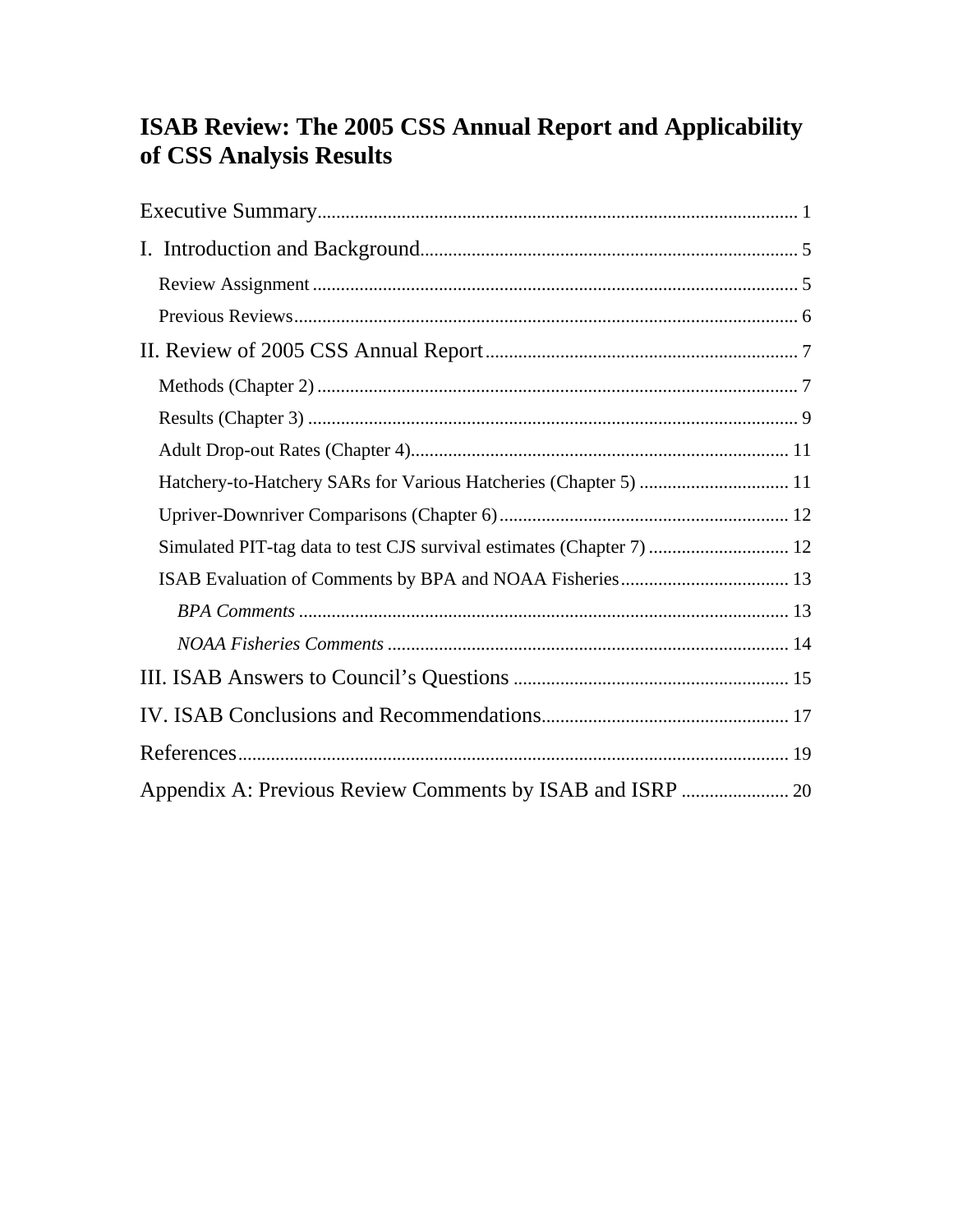# ISAB Review: The 2005 CSS Annual Report and Applicability of CSS Analysis Results

| Hatchery-to-Hatchery SARs for Various Hatcheries (Chapter 5)  11      |  |
|-----------------------------------------------------------------------|--|
|                                                                       |  |
| Simulated PIT-tag data to test CJS survival estimates (Chapter 7)  12 |  |
|                                                                       |  |
|                                                                       |  |
|                                                                       |  |
|                                                                       |  |
|                                                                       |  |
|                                                                       |  |
|                                                                       |  |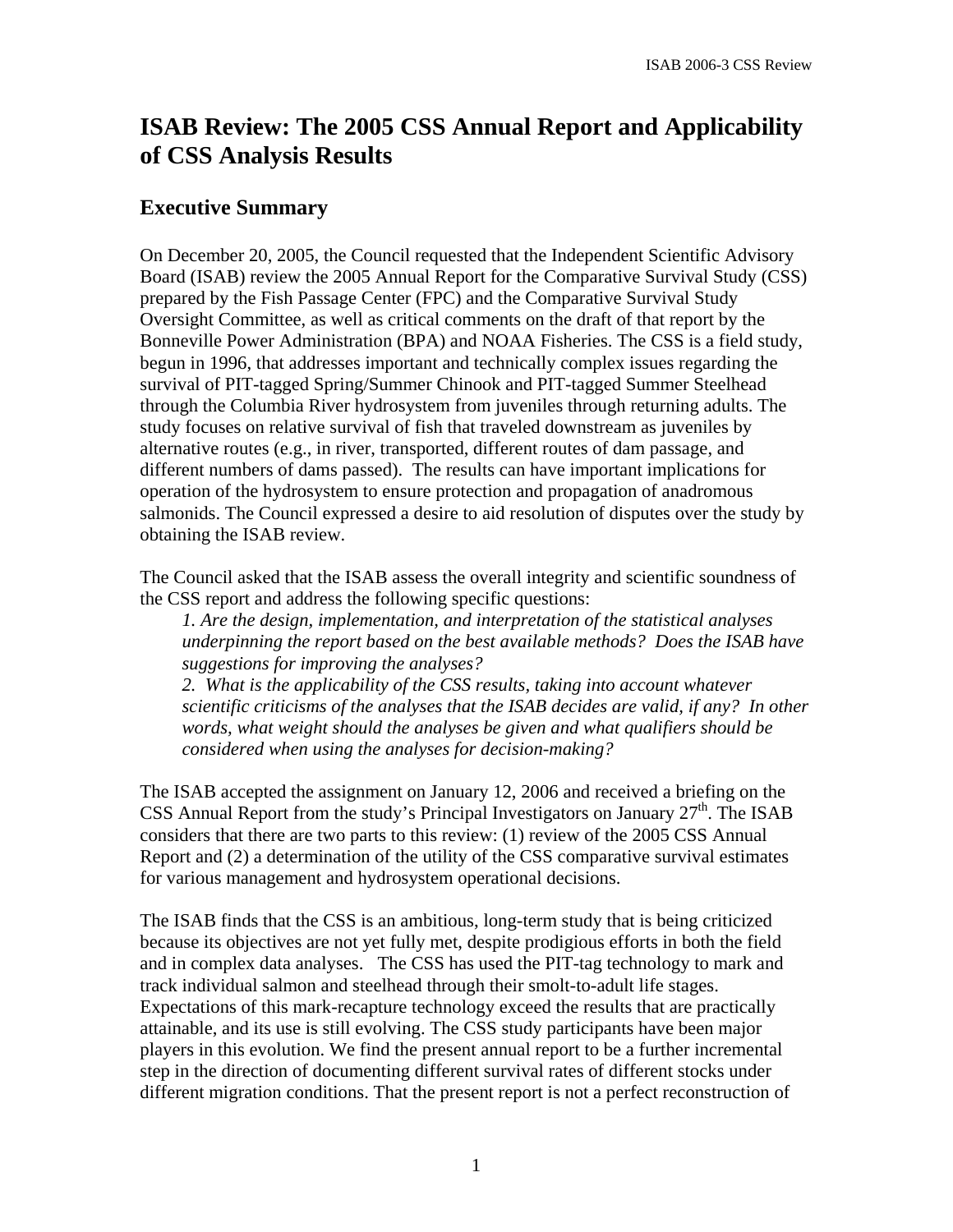# **ISAB Review: The 2005 CSS Annual Report and Applicability of CSS Analysis Results**

# **Executive Summary**

On December 20, 2005, the Council requested that the Independent Scientific Advisory Board (ISAB) review the 2005 Annual Report for the Comparative Survival Study (CSS) prepared by the Fish Passage Center (FPC) and the Comparative Survival Study Oversight Committee, as well as critical comments on the draft of that report by the Bonneville Power Administration (BPA) and NOAA Fisheries. The CSS is a field study, begun in 1996, that addresses important and technically complex issues regarding the survival of PIT-tagged Spring/Summer Chinook and PIT-tagged Summer Steelhead through the Columbia River hydrosystem from juveniles through returning adults. The study focuses on relative survival of fish that traveled downstream as juveniles by alternative routes (e.g., in river, transported, different routes of dam passage, and different numbers of dams passed). The results can have important implications for operation of the hydrosystem to ensure protection and propagation of anadromous salmonids. The Council expressed a desire to aid resolution of disputes over the study by obtaining the ISAB review.

The Council asked that the ISAB assess the overall integrity and scientific soundness of the CSS report and address the following specific questions:

*1. Are the design, implementation, and interpretation of the statistical analyses underpinning the report based on the best available methods? Does the ISAB have suggestions for improving the analyses?* 

*2. What is the applicability of the CSS results, taking into account whatever scientific criticisms of the analyses that the ISAB decides are valid, if any? In other words, what weight should the analyses be given and what qualifiers should be considered when using the analyses for decision-making?* 

The ISAB accepted the assignment on January 12, 2006 and received a briefing on the CSS Annual Report from the study's Principal Investigators on January  $27<sup>th</sup>$ . The ISAB considers that there are two parts to this review: (1) review of the 2005 CSS Annual Report and (2) a determination of the utility of the CSS comparative survival estimates for various management and hydrosystem operational decisions.

The ISAB finds that the CSS is an ambitious, long-term study that is being criticized because its objectives are not yet fully met, despite prodigious efforts in both the field and in complex data analyses. The CSS has used the PIT-tag technology to mark and track individual salmon and steelhead through their smolt-to-adult life stages. Expectations of this mark-recapture technology exceed the results that are practically attainable, and its use is still evolving. The CSS study participants have been major players in this evolution. We find the present annual report to be a further incremental step in the direction of documenting different survival rates of different stocks under different migration conditions. That the present report is not a perfect reconstruction of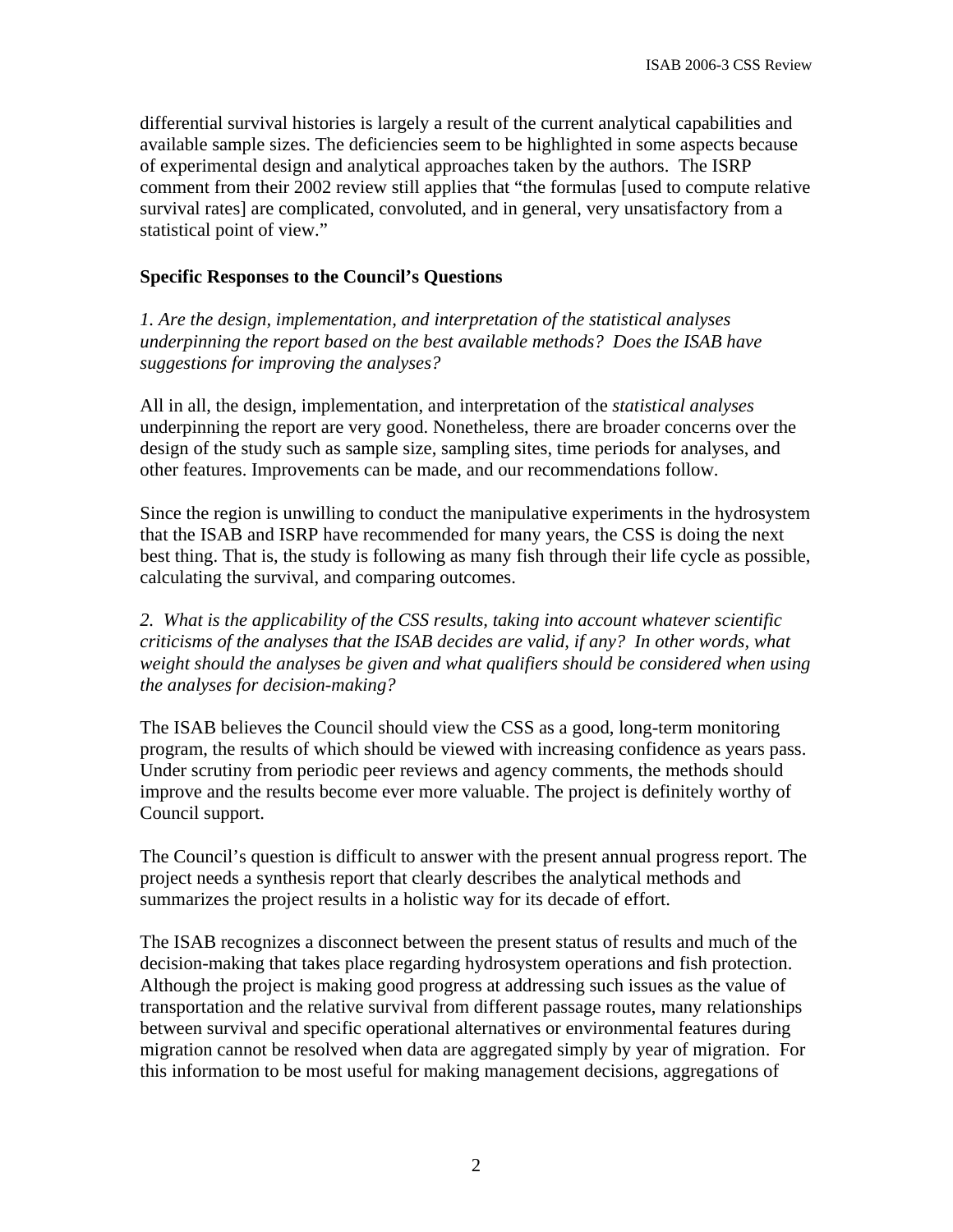differential survival histories is largely a result of the current analytical capabilities and available sample sizes. The deficiencies seem to be highlighted in some aspects because of experimental design and analytical approaches taken by the authors. The ISRP comment from their 2002 review still applies that "the formulas [used to compute relative survival rates] are complicated, convoluted, and in general, very unsatisfactory from a statistical point of view."

#### **Specific Responses to the Council's Questions**

*1. Are the design, implementation, and interpretation of the statistical analyses underpinning the report based on the best available methods? Does the ISAB have suggestions for improving the analyses?* 

All in all, the design, implementation, and interpretation of the *statistical analyses* underpinning the report are very good. Nonetheless, there are broader concerns over the design of the study such as sample size, sampling sites, time periods for analyses, and other features. Improvements can be made, and our recommendations follow.

Since the region is unwilling to conduct the manipulative experiments in the hydrosystem that the ISAB and ISRP have recommended for many years, the CSS is doing the next best thing. That is, the study is following as many fish through their life cycle as possible, calculating the survival, and comparing outcomes.

*2. What is the applicability of the CSS results, taking into account whatever scientific criticisms of the analyses that the ISAB decides are valid, if any? In other words, what weight should the analyses be given and what qualifiers should be considered when using the analyses for decision-making?* 

The ISAB believes the Council should view the CSS as a good, long-term monitoring program, the results of which should be viewed with increasing confidence as years pass. Under scrutiny from periodic peer reviews and agency comments, the methods should improve and the results become ever more valuable. The project is definitely worthy of Council support.

The Council's question is difficult to answer with the present annual progress report. The project needs a synthesis report that clearly describes the analytical methods and summarizes the project results in a holistic way for its decade of effort.

The ISAB recognizes a disconnect between the present status of results and much of the decision-making that takes place regarding hydrosystem operations and fish protection. Although the project is making good progress at addressing such issues as the value of transportation and the relative survival from different passage routes, many relationships between survival and specific operational alternatives or environmental features during migration cannot be resolved when data are aggregated simply by year of migration. For this information to be most useful for making management decisions, aggregations of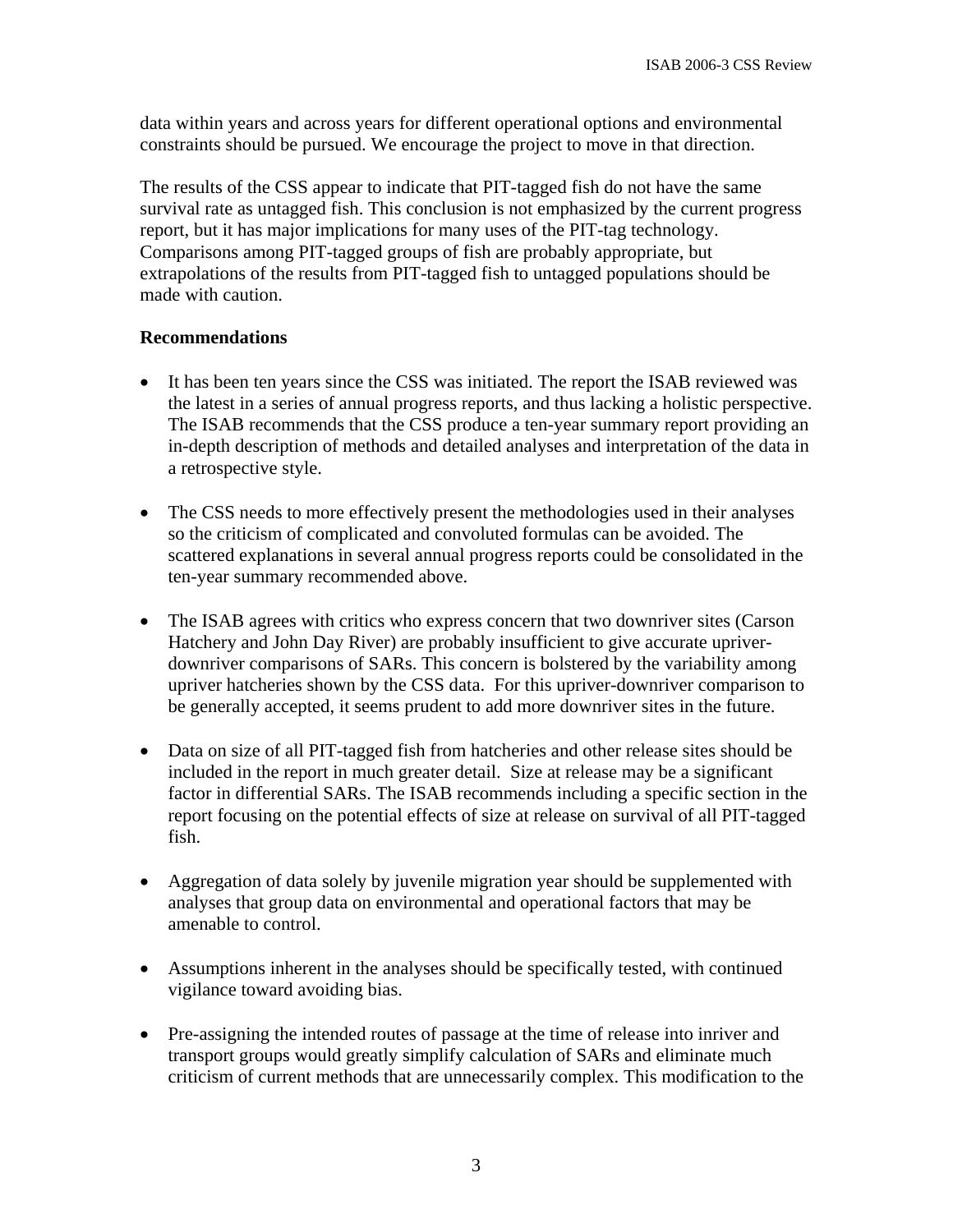data within years and across years for different operational options and environmental constraints should be pursued. We encourage the project to move in that direction.

The results of the CSS appear to indicate that PIT-tagged fish do not have the same survival rate as untagged fish. This conclusion is not emphasized by the current progress report, but it has major implications for many uses of the PIT-tag technology. Comparisons among PIT-tagged groups of fish are probably appropriate, but extrapolations of the results from PIT-tagged fish to untagged populations should be made with caution.

#### **Recommendations**

- It has been ten years since the CSS was initiated. The report the ISAB reviewed was the latest in a series of annual progress reports, and thus lacking a holistic perspective. The ISAB recommends that the CSS produce a ten-year summary report providing an in-depth description of methods and detailed analyses and interpretation of the data in a retrospective style.
- The CSS needs to more effectively present the methodologies used in their analyses so the criticism of complicated and convoluted formulas can be avoided. The scattered explanations in several annual progress reports could be consolidated in the ten-year summary recommended above.
- The ISAB agrees with critics who express concern that two downriver sites (Carson Hatchery and John Day River) are probably insufficient to give accurate upriverdownriver comparisons of SARs. This concern is bolstered by the variability among upriver hatcheries shown by the CSS data. For this upriver-downriver comparison to be generally accepted, it seems prudent to add more downriver sites in the future.
- Data on size of all PIT-tagged fish from hatcheries and other release sites should be included in the report in much greater detail. Size at release may be a significant factor in differential SARs. The ISAB recommends including a specific section in the report focusing on the potential effects of size at release on survival of all PIT-tagged fish.
- Aggregation of data solely by juvenile migration year should be supplemented with analyses that group data on environmental and operational factors that may be amenable to control.
- Assumptions inherent in the analyses should be specifically tested, with continued vigilance toward avoiding bias.
- Pre-assigning the intended routes of passage at the time of release into inriver and transport groups would greatly simplify calculation of SARs and eliminate much criticism of current methods that are unnecessarily complex. This modification to the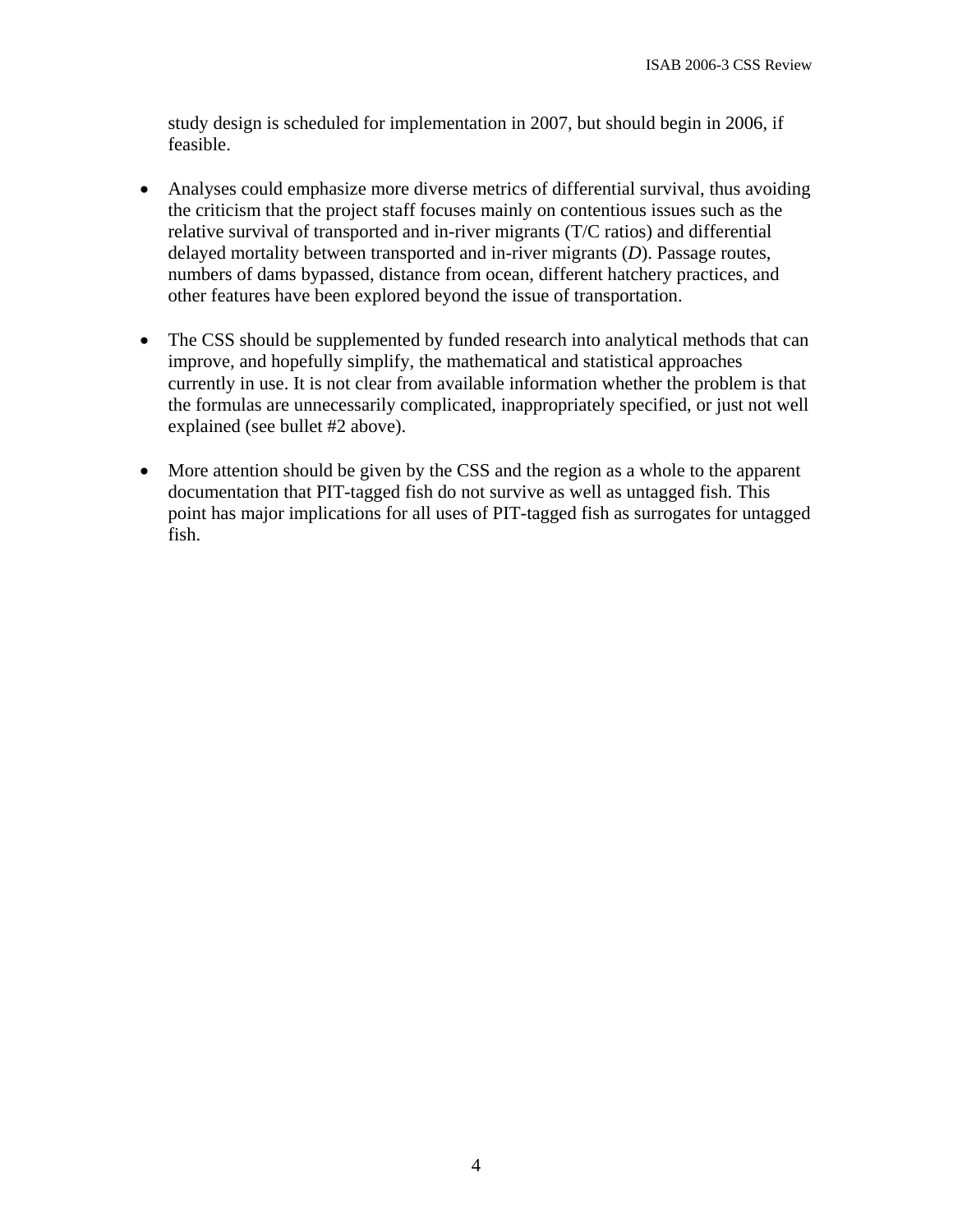study design is scheduled for implementation in 2007, but should begin in 2006, if feasible.

- Analyses could emphasize more diverse metrics of differential survival, thus avoiding the criticism that the project staff focuses mainly on contentious issues such as the relative survival of transported and in-river migrants (T/C ratios) and differential delayed mortality between transported and in-river migrants (*D*). Passage routes, numbers of dams bypassed, distance from ocean, different hatchery practices, and other features have been explored beyond the issue of transportation.
- The CSS should be supplemented by funded research into analytical methods that can improve, and hopefully simplify, the mathematical and statistical approaches currently in use. It is not clear from available information whether the problem is that the formulas are unnecessarily complicated, inappropriately specified, or just not well explained (see bullet #2 above).
- More attention should be given by the CSS and the region as a whole to the apparent documentation that PIT-tagged fish do not survive as well as untagged fish. This point has major implications for all uses of PIT-tagged fish as surrogates for untagged fish.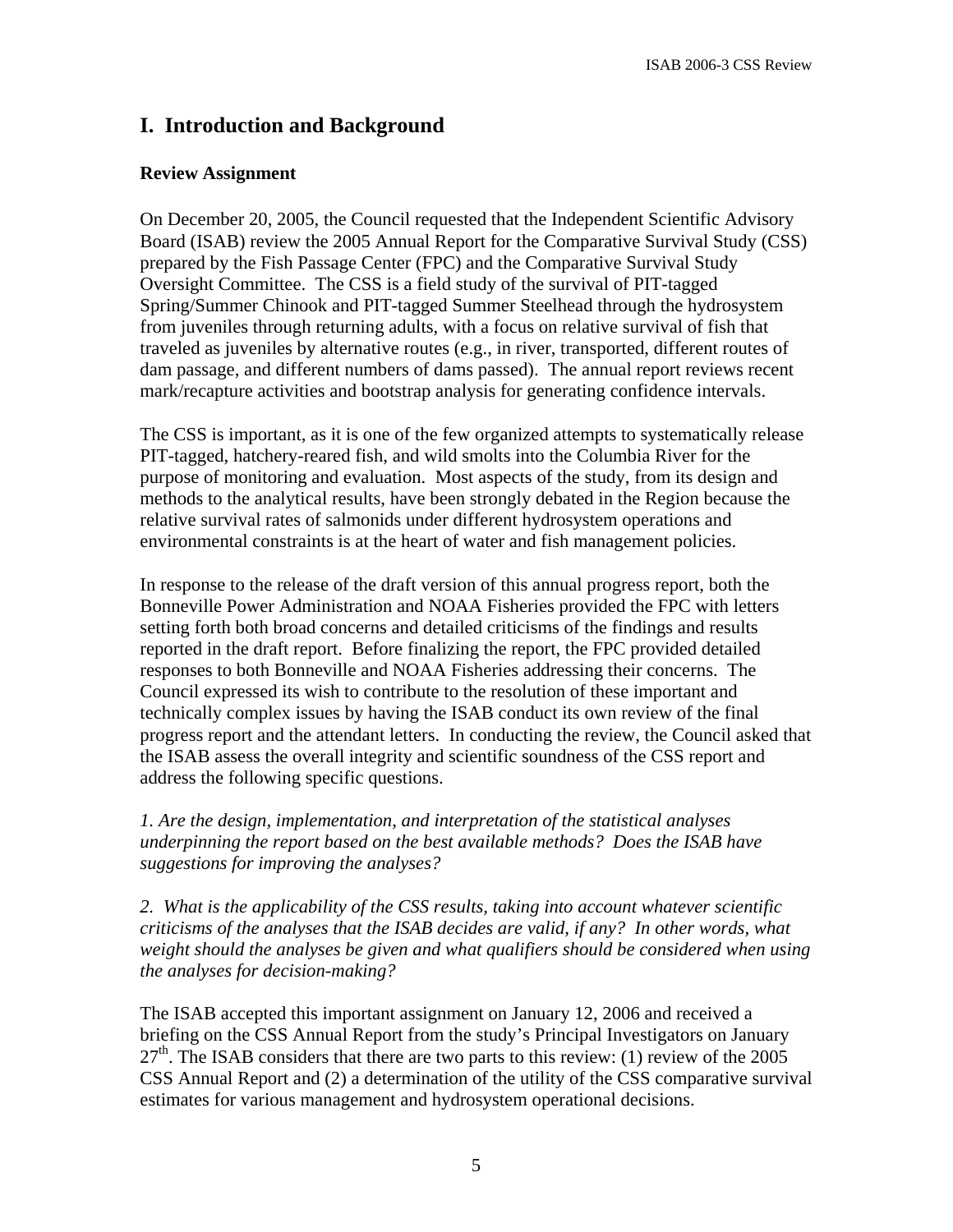# **I. Introduction and Background**

#### **Review Assignment**

On December 20, 2005, the Council requested that the Independent Scientific Advisory Board (ISAB) review the 2005 Annual Report for the Comparative Survival Study (CSS) prepared by the Fish Passage Center (FPC) and the Comparative Survival Study Oversight Committee. The CSS is a field study of the survival of PIT-tagged Spring/Summer Chinook and PIT-tagged Summer Steelhead through the hydrosystem from juveniles through returning adults, with a focus on relative survival of fish that traveled as juveniles by alternative routes (e.g., in river, transported, different routes of dam passage, and different numbers of dams passed). The annual report reviews recent mark/recapture activities and bootstrap analysis for generating confidence intervals.

The CSS is important, as it is one of the few organized attempts to systematically release PIT-tagged, hatchery-reared fish, and wild smolts into the Columbia River for the purpose of monitoring and evaluation. Most aspects of the study, from its design and methods to the analytical results, have been strongly debated in the Region because the relative survival rates of salmonids under different hydrosystem operations and environmental constraints is at the heart of water and fish management policies.

In response to the release of the draft version of this annual progress report, both the Bonneville Power Administration and NOAA Fisheries provided the FPC with letters setting forth both broad concerns and detailed criticisms of the findings and results reported in the draft report. Before finalizing the report, the FPC provided detailed responses to both Bonneville and NOAA Fisheries addressing their concerns. The Council expressed its wish to contribute to the resolution of these important and technically complex issues by having the ISAB conduct its own review of the final progress report and the attendant letters. In conducting the review, the Council asked that the ISAB assess the overall integrity and scientific soundness of the CSS report and address the following specific questions.

*1. Are the design, implementation, and interpretation of the statistical analyses underpinning the report based on the best available methods? Does the ISAB have suggestions for improving the analyses?* 

*2. What is the applicability of the CSS results, taking into account whatever scientific criticisms of the analyses that the ISAB decides are valid, if any? In other words, what weight should the analyses be given and what qualifiers should be considered when using the analyses for decision-making?* 

The ISAB accepted this important assignment on January 12, 2006 and received a briefing on the CSS Annual Report from the study's Principal Investigators on January  $27<sup>th</sup>$ . The ISAB considers that there are two parts to this review: (1) review of the 2005 CSS Annual Report and (2) a determination of the utility of the CSS comparative survival estimates for various management and hydrosystem operational decisions.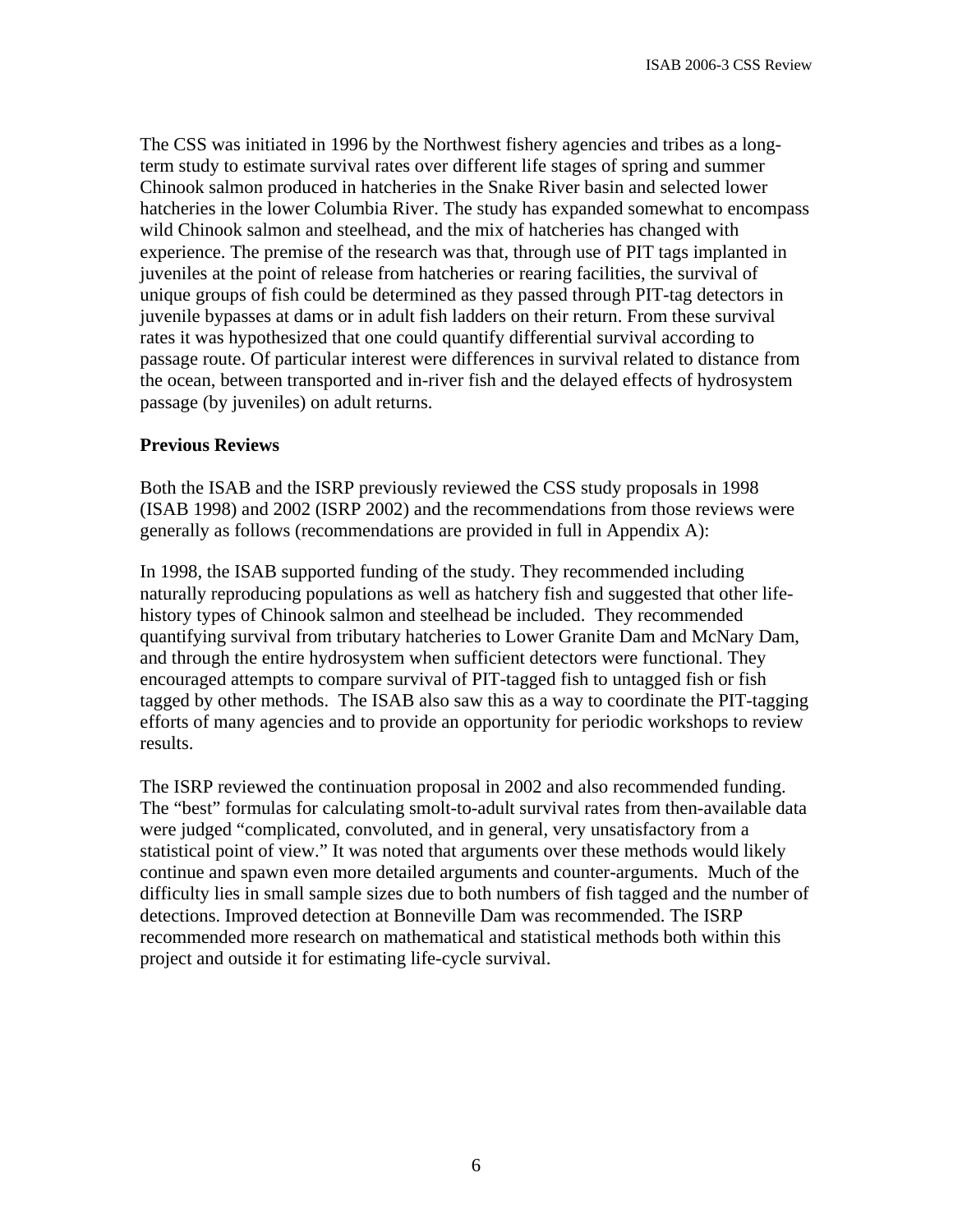The CSS was initiated in 1996 by the Northwest fishery agencies and tribes as a longterm study to estimate survival rates over different life stages of spring and summer Chinook salmon produced in hatcheries in the Snake River basin and selected lower hatcheries in the lower Columbia River. The study has expanded somewhat to encompass wild Chinook salmon and steelhead, and the mix of hatcheries has changed with experience. The premise of the research was that, through use of PIT tags implanted in juveniles at the point of release from hatcheries or rearing facilities, the survival of unique groups of fish could be determined as they passed through PIT-tag detectors in juvenile bypasses at dams or in adult fish ladders on their return. From these survival rates it was hypothesized that one could quantify differential survival according to passage route. Of particular interest were differences in survival related to distance from the ocean, between transported and in-river fish and the delayed effects of hydrosystem passage (by juveniles) on adult returns.

#### **Previous Reviews**

Both the ISAB and the ISRP previously reviewed the CSS study proposals in 1998 (ISAB 1998) and 2002 (ISRP 2002) and the recommendations from those reviews were generally as follows (recommendations are provided in full in Appendix A):

In 1998, the ISAB supported funding of the study. They recommended including naturally reproducing populations as well as hatchery fish and suggested that other lifehistory types of Chinook salmon and steelhead be included. They recommended quantifying survival from tributary hatcheries to Lower Granite Dam and McNary Dam, and through the entire hydrosystem when sufficient detectors were functional. They encouraged attempts to compare survival of PIT-tagged fish to untagged fish or fish tagged by other methods. The ISAB also saw this as a way to coordinate the PIT-tagging efforts of many agencies and to provide an opportunity for periodic workshops to review results.

The ISRP reviewed the continuation proposal in 2002 and also recommended funding. The "best" formulas for calculating smolt-to-adult survival rates from then-available data were judged "complicated, convoluted, and in general, very unsatisfactory from a statistical point of view." It was noted that arguments over these methods would likely continue and spawn even more detailed arguments and counter-arguments. Much of the difficulty lies in small sample sizes due to both numbers of fish tagged and the number of detections. Improved detection at Bonneville Dam was recommended. The ISRP recommended more research on mathematical and statistical methods both within this project and outside it for estimating life-cycle survival.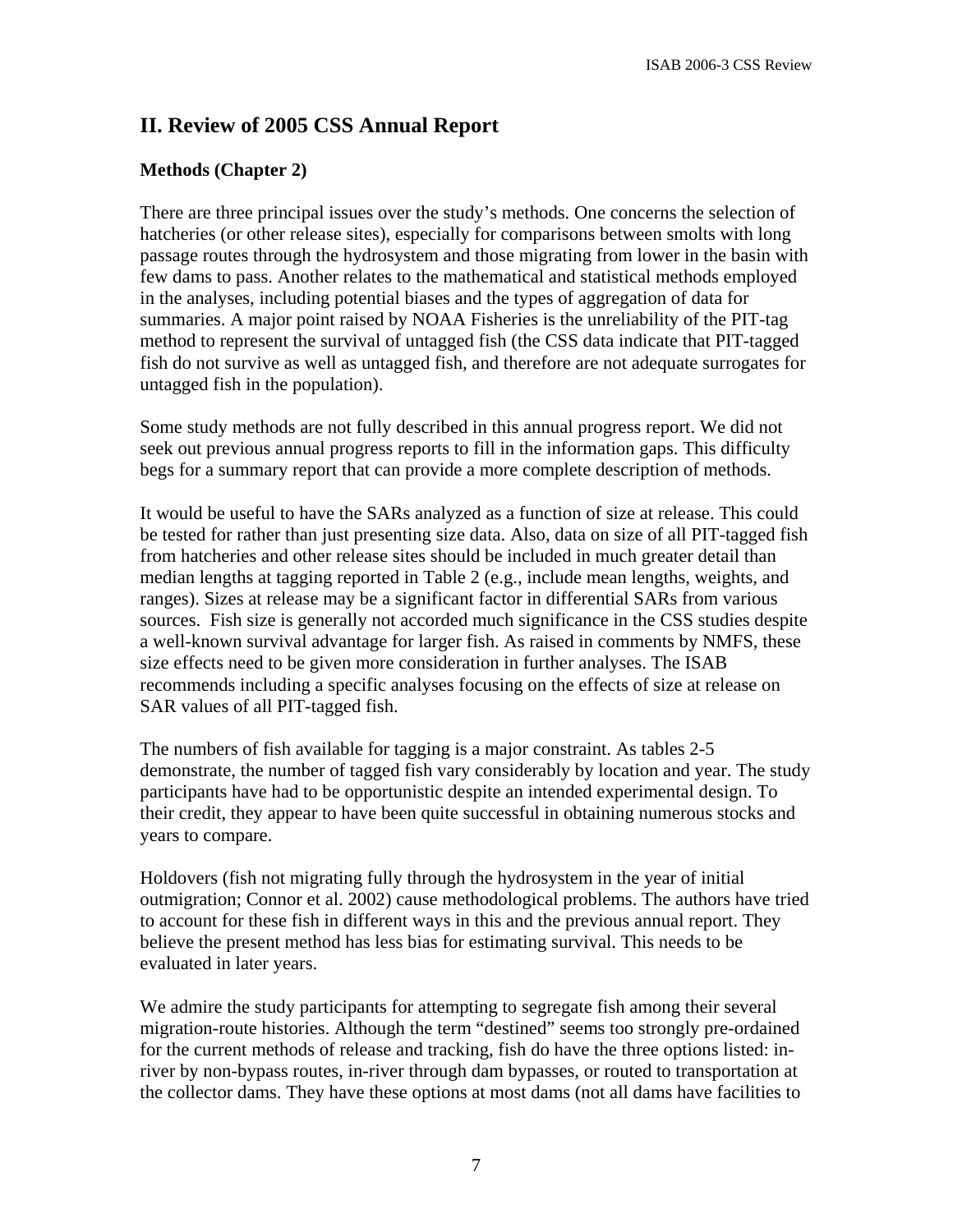# **II. Review of 2005 CSS Annual Report**

## **Methods (Chapter 2)**

There are three principal issues over the study's methods. One concerns the selection of hatcheries (or other release sites), especially for comparisons between smolts with long passage routes through the hydrosystem and those migrating from lower in the basin with few dams to pass. Another relates to the mathematical and statistical methods employed in the analyses, including potential biases and the types of aggregation of data for summaries. A major point raised by NOAA Fisheries is the unreliability of the PIT-tag method to represent the survival of untagged fish (the CSS data indicate that PIT-tagged fish do not survive as well as untagged fish, and therefore are not adequate surrogates for untagged fish in the population).

Some study methods are not fully described in this annual progress report. We did not seek out previous annual progress reports to fill in the information gaps. This difficulty begs for a summary report that can provide a more complete description of methods.

It would be useful to have the SARs analyzed as a function of size at release. This could be tested for rather than just presenting size data. Also, data on size of all PIT-tagged fish from hatcheries and other release sites should be included in much greater detail than median lengths at tagging reported in Table 2 (e.g., include mean lengths, weights, and ranges). Sizes at release may be a significant factor in differential SARs from various sources. Fish size is generally not accorded much significance in the CSS studies despite a well-known survival advantage for larger fish. As raised in comments by NMFS, these size effects need to be given more consideration in further analyses. The ISAB recommends including a specific analyses focusing on the effects of size at release on SAR values of all PIT-tagged fish.

The numbers of fish available for tagging is a major constraint. As tables 2-5 demonstrate, the number of tagged fish vary considerably by location and year. The study participants have had to be opportunistic despite an intended experimental design. To their credit, they appear to have been quite successful in obtaining numerous stocks and years to compare.

Holdovers (fish not migrating fully through the hydrosystem in the year of initial outmigration; Connor et al. 2002) cause methodological problems. The authors have tried to account for these fish in different ways in this and the previous annual report. They believe the present method has less bias for estimating survival. This needs to be evaluated in later years.

We admire the study participants for attempting to segregate fish among their several migration-route histories. Although the term "destined" seems too strongly pre-ordained for the current methods of release and tracking, fish do have the three options listed: inriver by non-bypass routes, in-river through dam bypasses, or routed to transportation at the collector dams. They have these options at most dams (not all dams have facilities to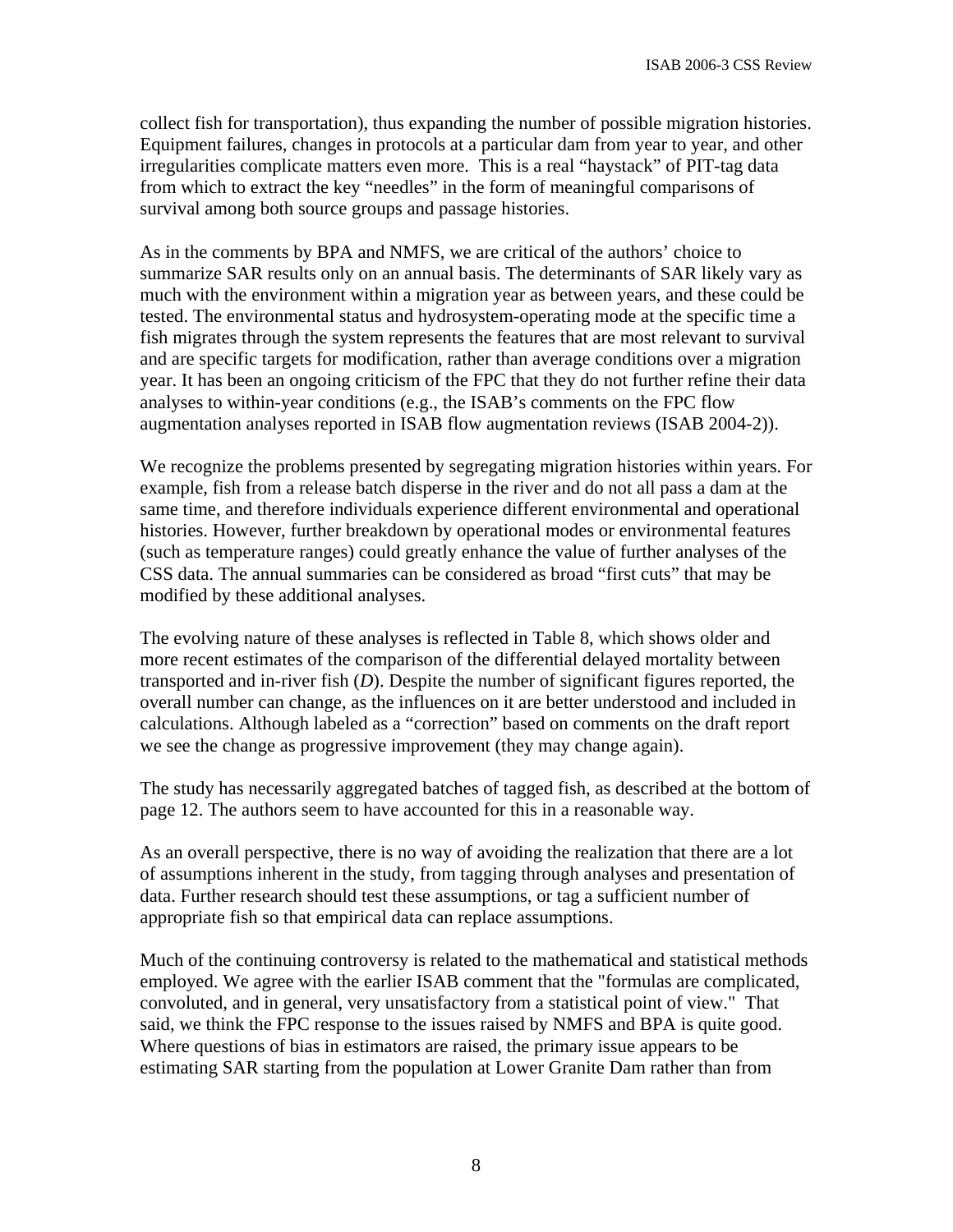collect fish for transportation), thus expanding the number of possible migration histories. Equipment failures, changes in protocols at a particular dam from year to year, and other irregularities complicate matters even more. This is a real "haystack" of PIT-tag data from which to extract the key "needles" in the form of meaningful comparisons of survival among both source groups and passage histories.

As in the comments by BPA and NMFS, we are critical of the authors' choice to summarize SAR results only on an annual basis. The determinants of SAR likely vary as much with the environment within a migration year as between years, and these could be tested. The environmental status and hydrosystem-operating mode at the specific time a fish migrates through the system represents the features that are most relevant to survival and are specific targets for modification, rather than average conditions over a migration year. It has been an ongoing criticism of the FPC that they do not further refine their data analyses to within-year conditions (e.g., the ISAB's comments on the FPC flow augmentation analyses reported in ISAB flow augmentation reviews (ISAB 2004-2)).

We recognize the problems presented by segregating migration histories within years. For example, fish from a release batch disperse in the river and do not all pass a dam at the same time, and therefore individuals experience different environmental and operational histories. However, further breakdown by operational modes or environmental features (such as temperature ranges) could greatly enhance the value of further analyses of the CSS data. The annual summaries can be considered as broad "first cuts" that may be modified by these additional analyses.

The evolving nature of these analyses is reflected in Table 8, which shows older and more recent estimates of the comparison of the differential delayed mortality between transported and in-river fish (*D*). Despite the number of significant figures reported, the overall number can change, as the influences on it are better understood and included in calculations. Although labeled as a "correction" based on comments on the draft report we see the change as progressive improvement (they may change again).

The study has necessarily aggregated batches of tagged fish, as described at the bottom of page 12. The authors seem to have accounted for this in a reasonable way.

As an overall perspective, there is no way of avoiding the realization that there are a lot of assumptions inherent in the study, from tagging through analyses and presentation of data. Further research should test these assumptions, or tag a sufficient number of appropriate fish so that empirical data can replace assumptions.

Much of the continuing controversy is related to the mathematical and statistical methods employed. We agree with the earlier ISAB comment that the "formulas are complicated, convoluted, and in general, very unsatisfactory from a statistical point of view." That said, we think the FPC response to the issues raised by NMFS and BPA is quite good. Where questions of bias in estimators are raised, the primary issue appears to be estimating SAR starting from the population at Lower Granite Dam rather than from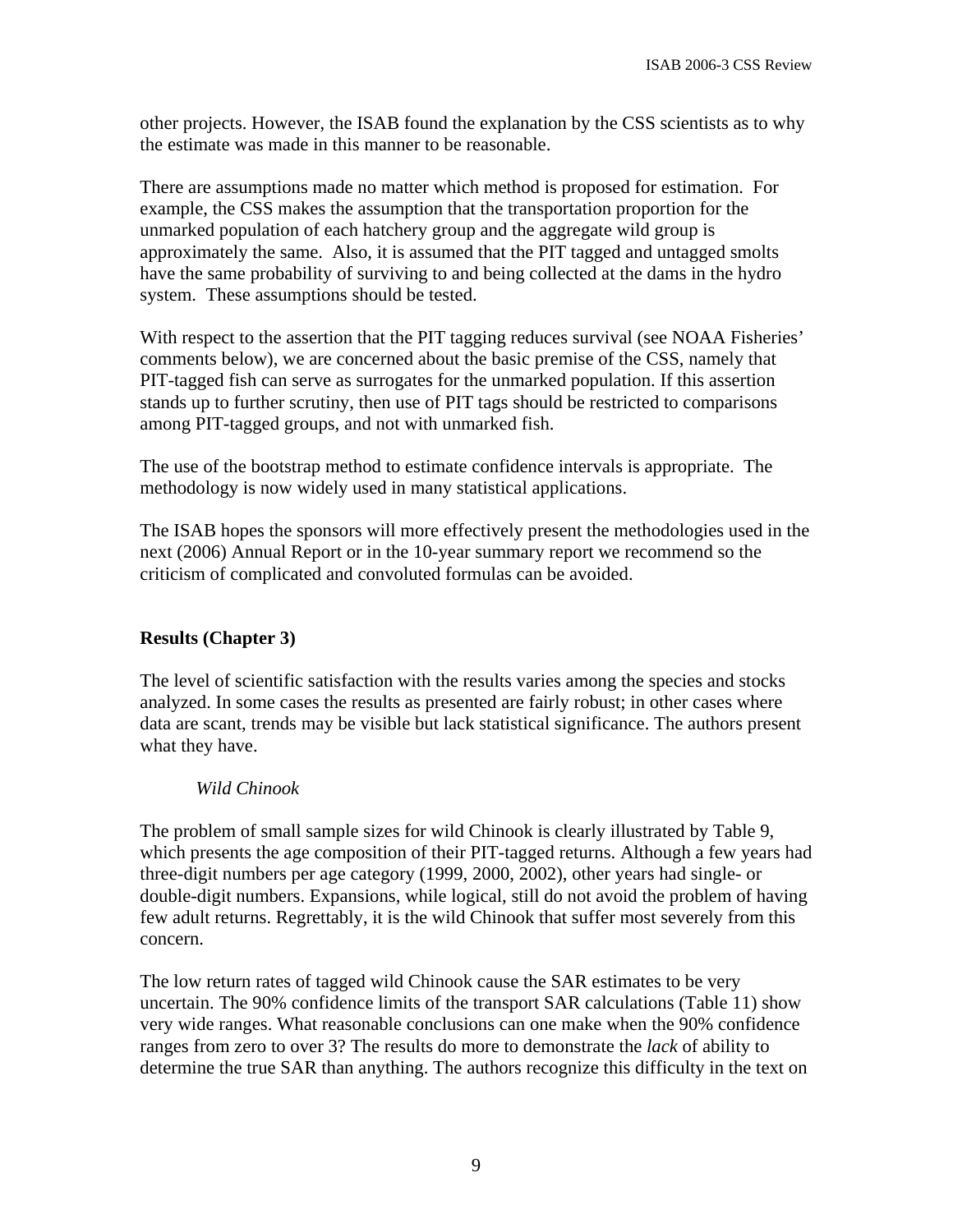other projects. However, the ISAB found the explanation by the CSS scientists as to why the estimate was made in this manner to be reasonable.

There are assumptions made no matter which method is proposed for estimation. For example, the CSS makes the assumption that the transportation proportion for the unmarked population of each hatchery group and the aggregate wild group is approximately the same. Also, it is assumed that the PIT tagged and untagged smolts have the same probability of surviving to and being collected at the dams in the hydro system. These assumptions should be tested.

With respect to the assertion that the PIT tagging reduces survival (see NOAA Fisheries' comments below), we are concerned about the basic premise of the CSS, namely that PIT-tagged fish can serve as surrogates for the unmarked population. If this assertion stands up to further scrutiny, then use of PIT tags should be restricted to comparisons among PIT-tagged groups, and not with unmarked fish.

The use of the bootstrap method to estimate confidence intervals is appropriate. The methodology is now widely used in many statistical applications.

The ISAB hopes the sponsors will more effectively present the methodologies used in the next (2006) Annual Report or in the 10-year summary report we recommend so the criticism of complicated and convoluted formulas can be avoided.

## **Results (Chapter 3)**

The level of scientific satisfaction with the results varies among the species and stocks analyzed. In some cases the results as presented are fairly robust; in other cases where data are scant, trends may be visible but lack statistical significance. The authors present what they have.

#### *Wild Chinook*

The problem of small sample sizes for wild Chinook is clearly illustrated by Table 9, which presents the age composition of their PIT-tagged returns. Although a few years had three-digit numbers per age category (1999, 2000, 2002), other years had single- or double-digit numbers. Expansions, while logical, still do not avoid the problem of having few adult returns. Regrettably, it is the wild Chinook that suffer most severely from this concern.

The low return rates of tagged wild Chinook cause the SAR estimates to be very uncertain. The 90% confidence limits of the transport SAR calculations (Table 11) show very wide ranges. What reasonable conclusions can one make when the 90% confidence ranges from zero to over 3? The results do more to demonstrate the *lack* of ability to determine the true SAR than anything. The authors recognize this difficulty in the text on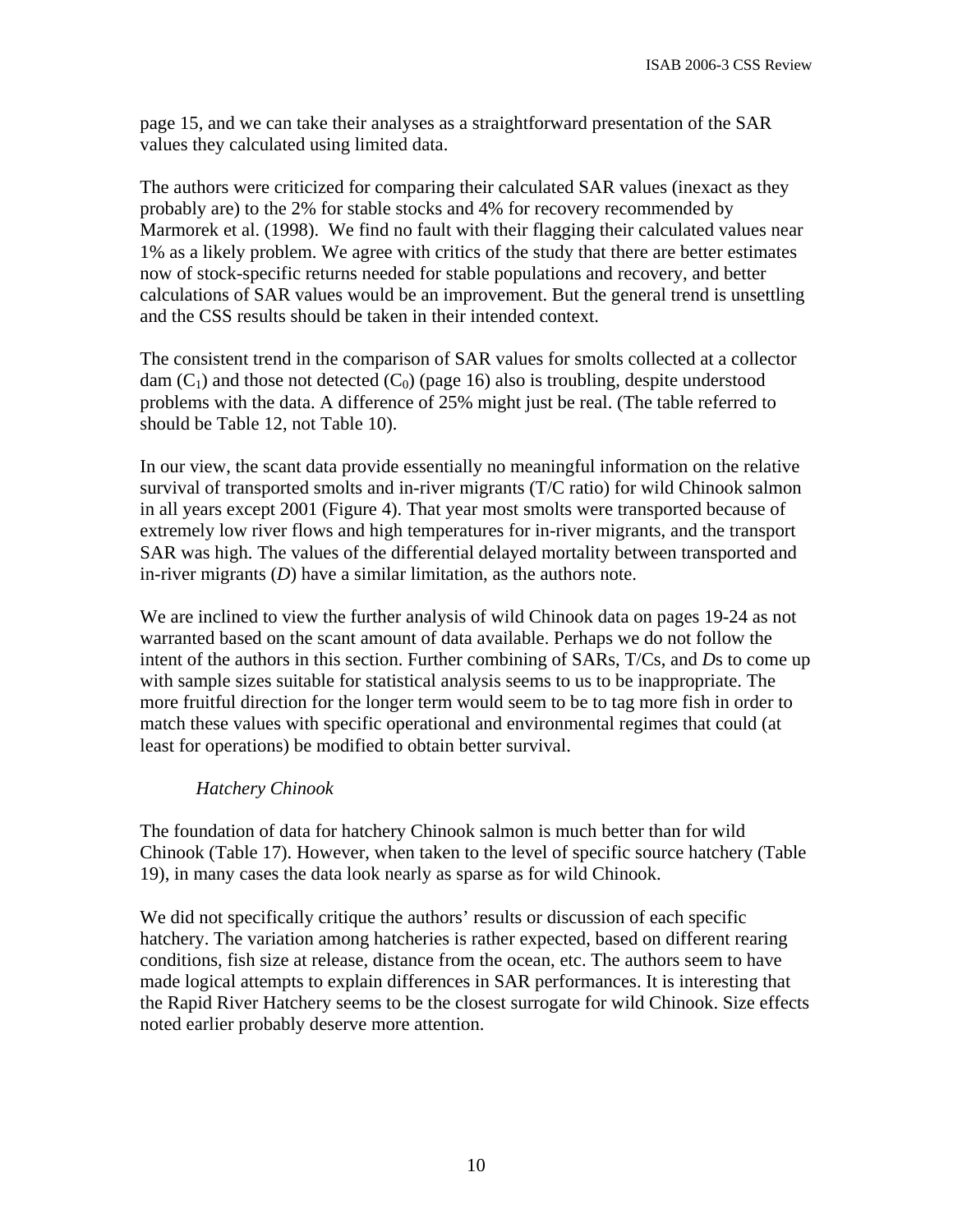page 15, and we can take their analyses as a straightforward presentation of the SAR values they calculated using limited data.

The authors were criticized for comparing their calculated SAR values (inexact as they probably are) to the 2% for stable stocks and 4% for recovery recommended by Marmorek et al. (1998). We find no fault with their flagging their calculated values near 1% as a likely problem. We agree with critics of the study that there are better estimates now of stock-specific returns needed for stable populations and recovery, and better calculations of SAR values would be an improvement. But the general trend is unsettling and the CSS results should be taken in their intended context.

The consistent trend in the comparison of SAR values for smolts collected at a collector dam  $(C_1)$  and those not detected  $(C_0)$  (page 16) also is troubling, despite understood problems with the data. A difference of 25% might just be real. (The table referred to should be Table 12, not Table 10).

In our view, the scant data provide essentially no meaningful information on the relative survival of transported smolts and in-river migrants (T/C ratio) for wild Chinook salmon in all years except 2001 (Figure 4). That year most smolts were transported because of extremely low river flows and high temperatures for in-river migrants, and the transport SAR was high. The values of the differential delayed mortality between transported and in-river migrants (*D*) have a similar limitation, as the authors note.

We are inclined to view the further analysis of wild Chinook data on pages 19-24 as not warranted based on the scant amount of data available. Perhaps we do not follow the intent of the authors in this section. Further combining of SARs, T/Cs, and *D*s to come up with sample sizes suitable for statistical analysis seems to us to be inappropriate. The more fruitful direction for the longer term would seem to be to tag more fish in order to match these values with specific operational and environmental regimes that could (at least for operations) be modified to obtain better survival.

#### *Hatchery Chinook*

The foundation of data for hatchery Chinook salmon is much better than for wild Chinook (Table 17). However, when taken to the level of specific source hatchery (Table 19), in many cases the data look nearly as sparse as for wild Chinook.

We did not specifically critique the authors' results or discussion of each specific hatchery. The variation among hatcheries is rather expected, based on different rearing conditions, fish size at release, distance from the ocean, etc. The authors seem to have made logical attempts to explain differences in SAR performances. It is interesting that the Rapid River Hatchery seems to be the closest surrogate for wild Chinook. Size effects noted earlier probably deserve more attention.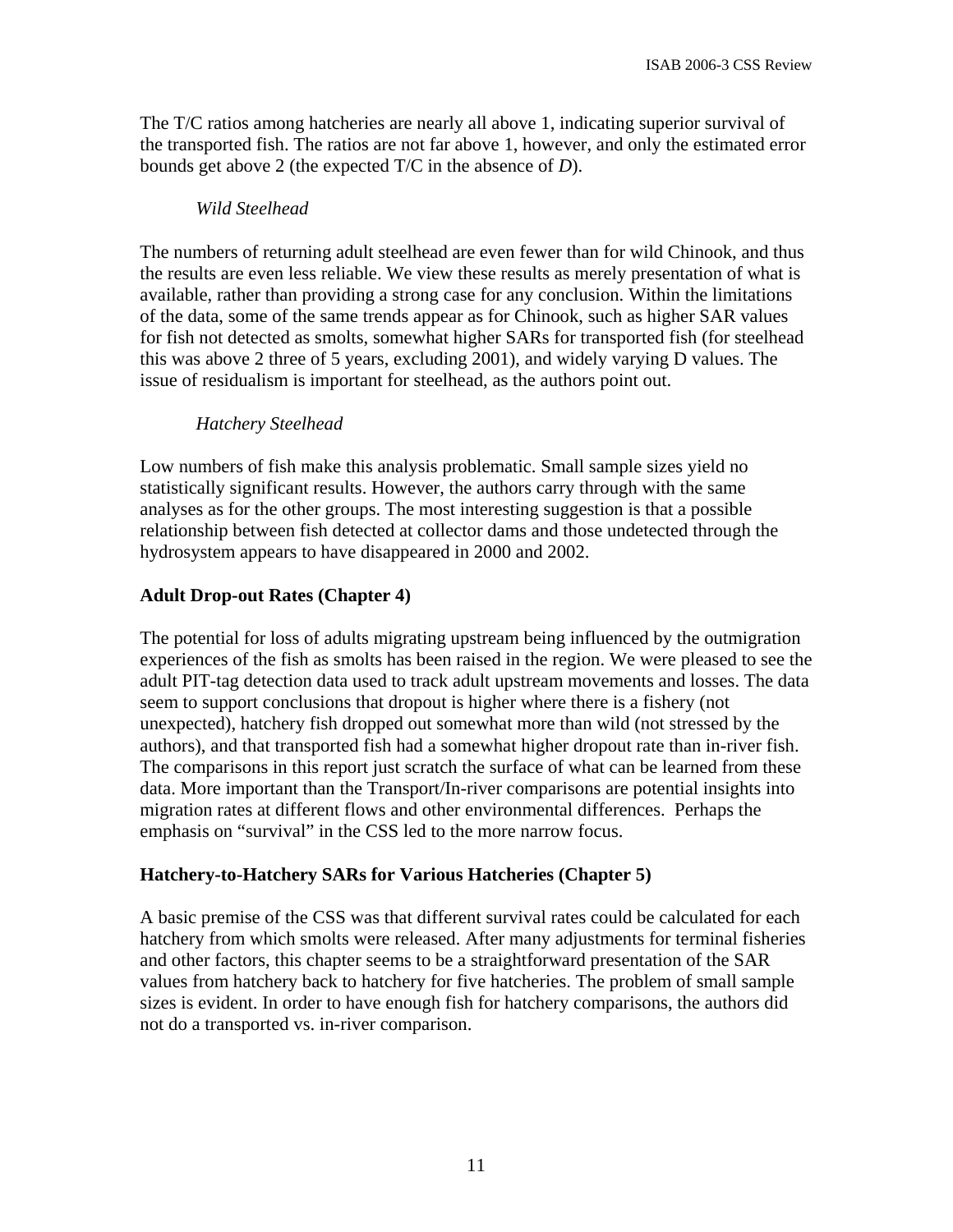The T/C ratios among hatcheries are nearly all above 1, indicating superior survival of the transported fish. The ratios are not far above 1, however, and only the estimated error bounds get above 2 (the expected T/C in the absence of *D*).

#### *Wild Steelhead*

The numbers of returning adult steelhead are even fewer than for wild Chinook, and thus the results are even less reliable. We view these results as merely presentation of what is available, rather than providing a strong case for any conclusion. Within the limitations of the data, some of the same trends appear as for Chinook, such as higher SAR values for fish not detected as smolts, somewhat higher SARs for transported fish (for steelhead this was above 2 three of 5 years, excluding 2001), and widely varying D values. The issue of residualism is important for steelhead, as the authors point out.

## *Hatchery Steelhead*

Low numbers of fish make this analysis problematic. Small sample sizes yield no statistically significant results. However, the authors carry through with the same analyses as for the other groups. The most interesting suggestion is that a possible relationship between fish detected at collector dams and those undetected through the hydrosystem appears to have disappeared in 2000 and 2002.

## **Adult Drop-out Rates (Chapter 4)**

The potential for loss of adults migrating upstream being influenced by the outmigration experiences of the fish as smolts has been raised in the region. We were pleased to see the adult PIT-tag detection data used to track adult upstream movements and losses. The data seem to support conclusions that dropout is higher where there is a fishery (not unexpected), hatchery fish dropped out somewhat more than wild (not stressed by the authors), and that transported fish had a somewhat higher dropout rate than in-river fish. The comparisons in this report just scratch the surface of what can be learned from these data. More important than the Transport/In-river comparisons are potential insights into migration rates at different flows and other environmental differences. Perhaps the emphasis on "survival" in the CSS led to the more narrow focus.

## **Hatchery-to-Hatchery SARs for Various Hatcheries (Chapter 5)**

A basic premise of the CSS was that different survival rates could be calculated for each hatchery from which smolts were released. After many adjustments for terminal fisheries and other factors, this chapter seems to be a straightforward presentation of the SAR values from hatchery back to hatchery for five hatcheries. The problem of small sample sizes is evident. In order to have enough fish for hatchery comparisons, the authors did not do a transported vs. in-river comparison.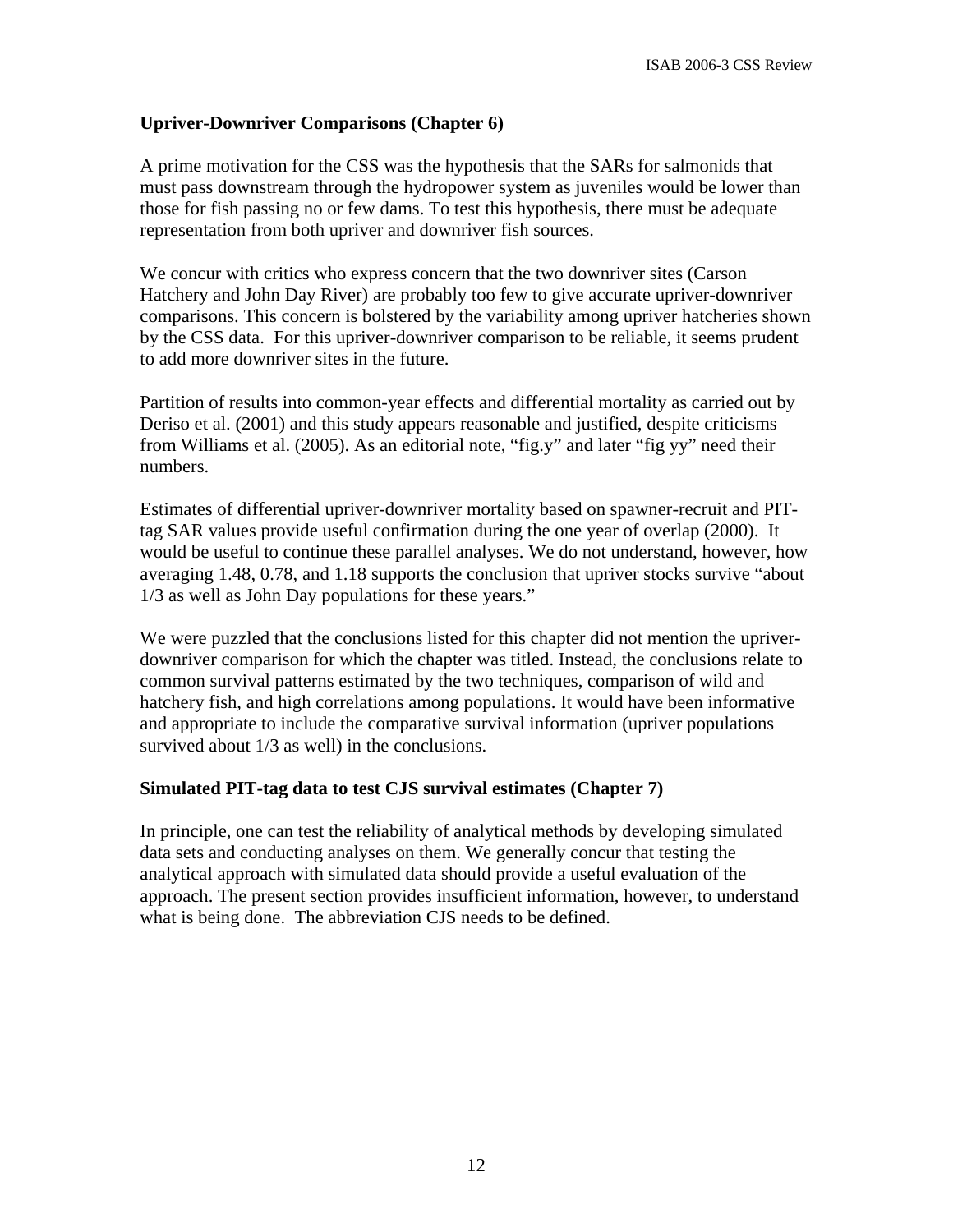#### **Upriver-Downriver Comparisons (Chapter 6)**

A prime motivation for the CSS was the hypothesis that the SARs for salmonids that must pass downstream through the hydropower system as juveniles would be lower than those for fish passing no or few dams. To test this hypothesis, there must be adequate representation from both upriver and downriver fish sources.

We concur with critics who express concern that the two downriver sites (Carson Hatchery and John Day River) are probably too few to give accurate upriver-downriver comparisons. This concern is bolstered by the variability among upriver hatcheries shown by the CSS data. For this upriver-downriver comparison to be reliable, it seems prudent to add more downriver sites in the future.

Partition of results into common-year effects and differential mortality as carried out by Deriso et al. (2001) and this study appears reasonable and justified, despite criticisms from Williams et al. (2005). As an editorial note, "fig.y" and later "fig yy" need their numbers.

Estimates of differential upriver-downriver mortality based on spawner-recruit and PITtag SAR values provide useful confirmation during the one year of overlap (2000). It would be useful to continue these parallel analyses. We do not understand, however, how averaging 1.48, 0.78, and 1.18 supports the conclusion that upriver stocks survive "about 1/3 as well as John Day populations for these years."

We were puzzled that the conclusions listed for this chapter did not mention the upriverdownriver comparison for which the chapter was titled. Instead, the conclusions relate to common survival patterns estimated by the two techniques, comparison of wild and hatchery fish, and high correlations among populations. It would have been informative and appropriate to include the comparative survival information (upriver populations survived about  $1/3$  as well) in the conclusions.

#### **Simulated PIT-tag data to test CJS survival estimates (Chapter 7)**

In principle, one can test the reliability of analytical methods by developing simulated data sets and conducting analyses on them. We generally concur that testing the analytical approach with simulated data should provide a useful evaluation of the approach. The present section provides insufficient information, however, to understand what is being done. The abbreviation CJS needs to be defined.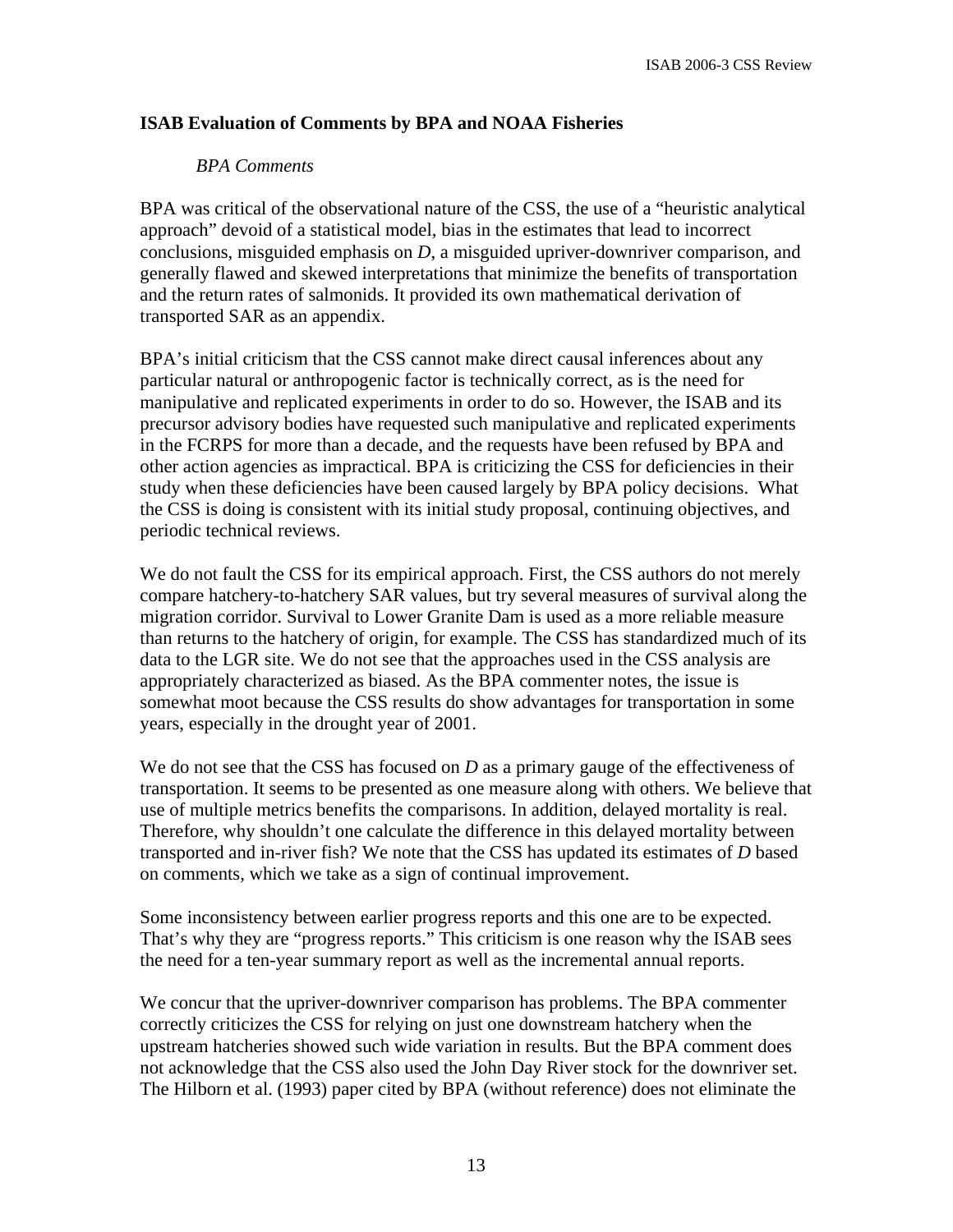## **ISAB Evaluation of Comments by BPA and NOAA Fisheries**

#### *BPA Comments*

BPA was critical of the observational nature of the CSS, the use of a "heuristic analytical approach" devoid of a statistical model, bias in the estimates that lead to incorrect conclusions, misguided emphasis on *D*, a misguided upriver-downriver comparison, and generally flawed and skewed interpretations that minimize the benefits of transportation and the return rates of salmonids. It provided its own mathematical derivation of transported SAR as an appendix.

BPA's initial criticism that the CSS cannot make direct causal inferences about any particular natural or anthropogenic factor is technically correct, as is the need for manipulative and replicated experiments in order to do so. However, the ISAB and its precursor advisory bodies have requested such manipulative and replicated experiments in the FCRPS for more than a decade, and the requests have been refused by BPA and other action agencies as impractical. BPA is criticizing the CSS for deficiencies in their study when these deficiencies have been caused largely by BPA policy decisions. What the CSS is doing is consistent with its initial study proposal, continuing objectives, and periodic technical reviews.

We do not fault the CSS for its empirical approach. First, the CSS authors do not merely compare hatchery-to-hatchery SAR values, but try several measures of survival along the migration corridor. Survival to Lower Granite Dam is used as a more reliable measure than returns to the hatchery of origin, for example. The CSS has standardized much of its data to the LGR site. We do not see that the approaches used in the CSS analysis are appropriately characterized as biased. As the BPA commenter notes, the issue is somewhat moot because the CSS results do show advantages for transportation in some years, especially in the drought year of 2001.

We do not see that the CSS has focused on *D* as a primary gauge of the effectiveness of transportation. It seems to be presented as one measure along with others. We believe that use of multiple metrics benefits the comparisons. In addition, delayed mortality is real. Therefore, why shouldn't one calculate the difference in this delayed mortality between transported and in-river fish? We note that the CSS has updated its estimates of *D* based on comments, which we take as a sign of continual improvement.

Some inconsistency between earlier progress reports and this one are to be expected. That's why they are "progress reports." This criticism is one reason why the ISAB sees the need for a ten-year summary report as well as the incremental annual reports.

We concur that the upriver-downriver comparison has problems. The BPA commenter correctly criticizes the CSS for relying on just one downstream hatchery when the upstream hatcheries showed such wide variation in results. But the BPA comment does not acknowledge that the CSS also used the John Day River stock for the downriver set. The Hilborn et al. (1993) paper cited by BPA (without reference) does not eliminate the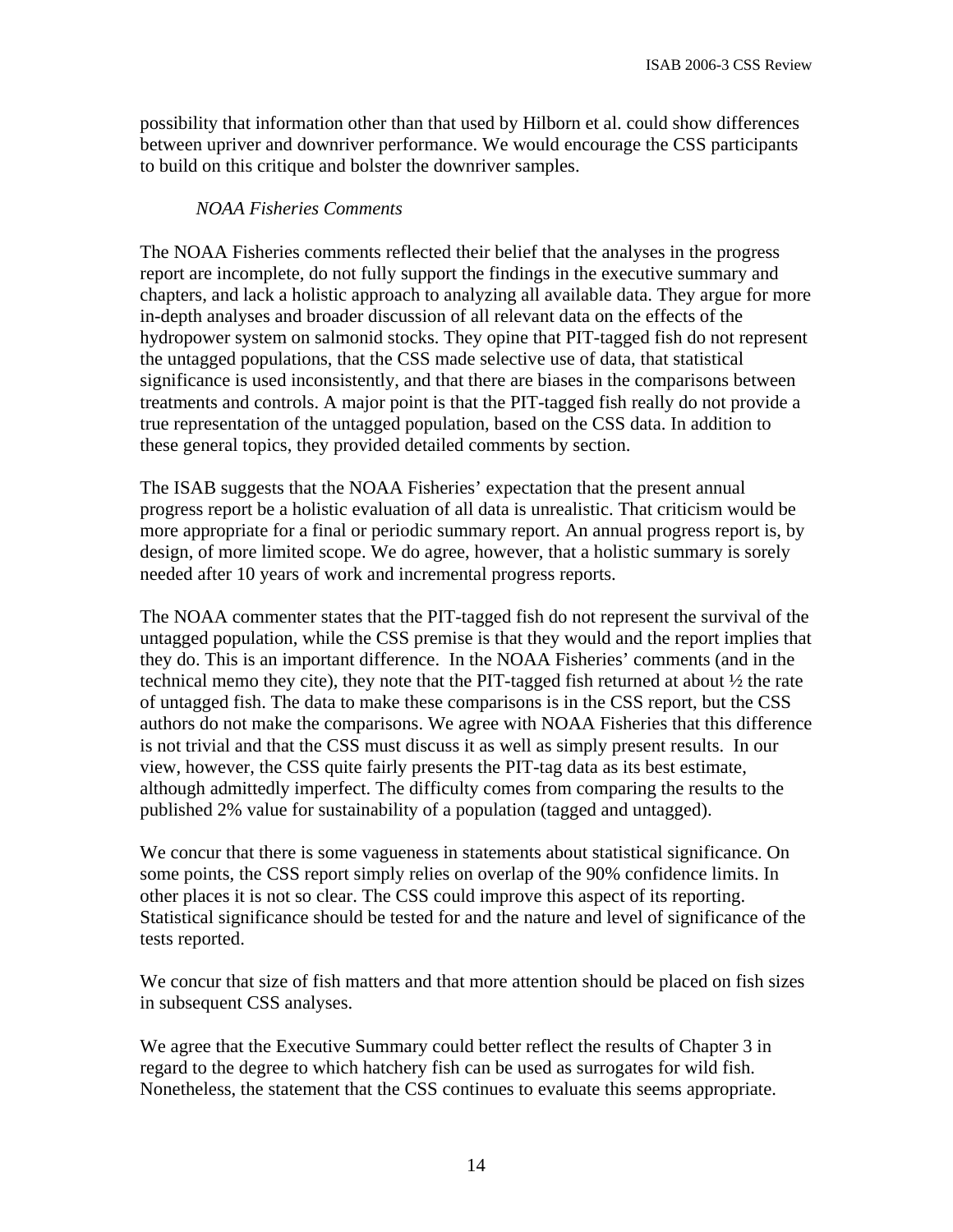possibility that information other than that used by Hilborn et al. could show differences between upriver and downriver performance. We would encourage the CSS participants to build on this critique and bolster the downriver samples.

#### *NOAA Fisheries Comments*

The NOAA Fisheries comments reflected their belief that the analyses in the progress report are incomplete, do not fully support the findings in the executive summary and chapters, and lack a holistic approach to analyzing all available data. They argue for more in-depth analyses and broader discussion of all relevant data on the effects of the hydropower system on salmonid stocks. They opine that PIT-tagged fish do not represent the untagged populations, that the CSS made selective use of data, that statistical significance is used inconsistently, and that there are biases in the comparisons between treatments and controls. A major point is that the PIT-tagged fish really do not provide a true representation of the untagged population, based on the CSS data. In addition to these general topics, they provided detailed comments by section.

The ISAB suggests that the NOAA Fisheries' expectation that the present annual progress report be a holistic evaluation of all data is unrealistic. That criticism would be more appropriate for a final or periodic summary report. An annual progress report is, by design, of more limited scope. We do agree, however, that a holistic summary is sorely needed after 10 years of work and incremental progress reports.

The NOAA commenter states that the PIT-tagged fish do not represent the survival of the untagged population, while the CSS premise is that they would and the report implies that they do. This is an important difference. In the NOAA Fisheries' comments (and in the technical memo they cite), they note that the PIT-tagged fish returned at about ½ the rate of untagged fish. The data to make these comparisons is in the CSS report, but the CSS authors do not make the comparisons. We agree with NOAA Fisheries that this difference is not trivial and that the CSS must discuss it as well as simply present results. In our view, however, the CSS quite fairly presents the PIT-tag data as its best estimate, although admittedly imperfect. The difficulty comes from comparing the results to the published 2% value for sustainability of a population (tagged and untagged).

We concur that there is some vagueness in statements about statistical significance. On some points, the CSS report simply relies on overlap of the 90% confidence limits. In other places it is not so clear. The CSS could improve this aspect of its reporting. Statistical significance should be tested for and the nature and level of significance of the tests reported.

We concur that size of fish matters and that more attention should be placed on fish sizes in subsequent CSS analyses.

We agree that the Executive Summary could better reflect the results of Chapter 3 in regard to the degree to which hatchery fish can be used as surrogates for wild fish. Nonetheless, the statement that the CSS continues to evaluate this seems appropriate.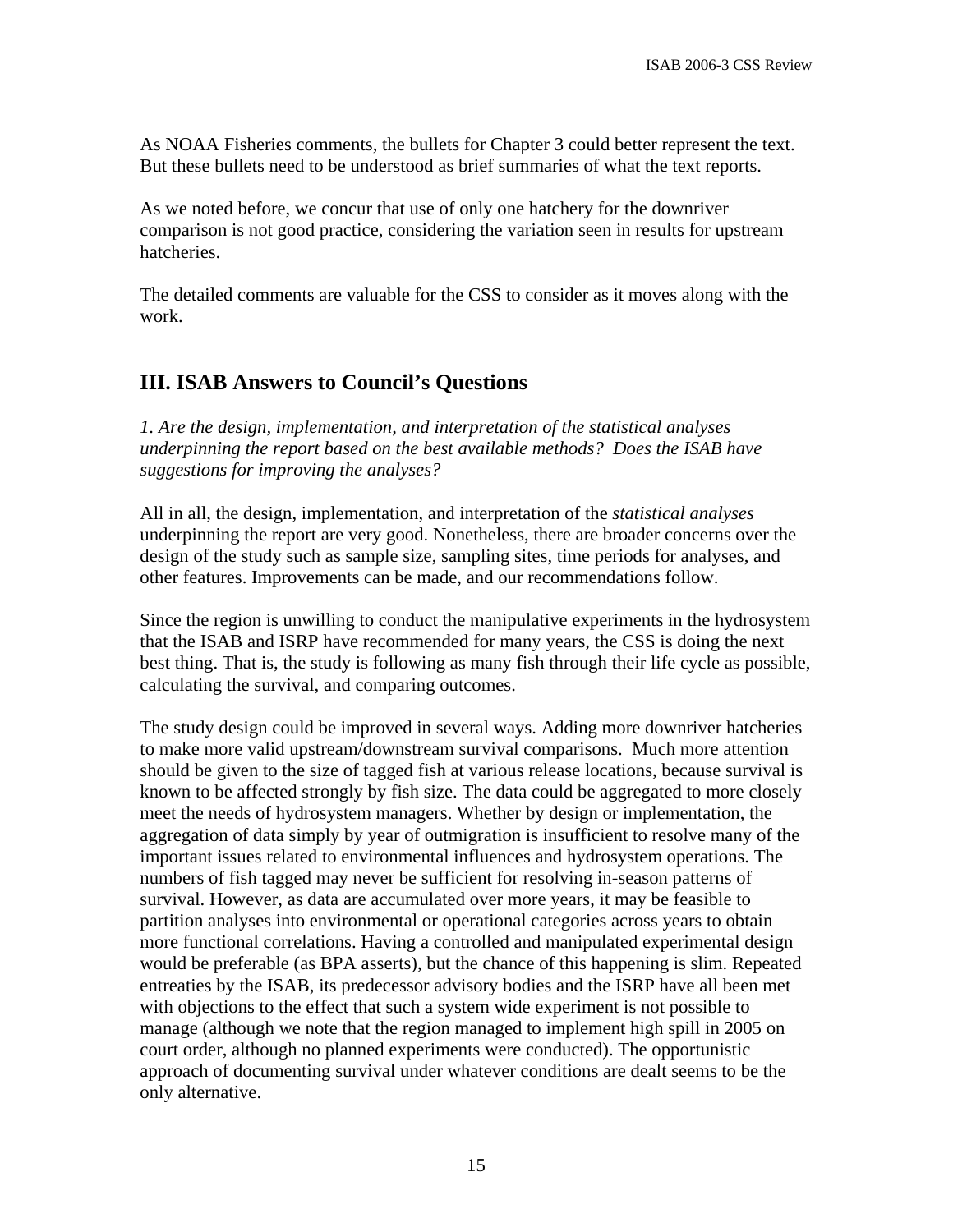As NOAA Fisheries comments, the bullets for Chapter 3 could better represent the text. But these bullets need to be understood as brief summaries of what the text reports.

As we noted before, we concur that use of only one hatchery for the downriver comparison is not good practice, considering the variation seen in results for upstream hatcheries.

The detailed comments are valuable for the CSS to consider as it moves along with the work.

# **III. ISAB Answers to Council's Questions**

*1. Are the design, implementation, and interpretation of the statistical analyses underpinning the report based on the best available methods? Does the ISAB have suggestions for improving the analyses?* 

All in all, the design, implementation, and interpretation of the *statistical analyses* underpinning the report are very good. Nonetheless, there are broader concerns over the design of the study such as sample size, sampling sites, time periods for analyses, and other features. Improvements can be made, and our recommendations follow.

Since the region is unwilling to conduct the manipulative experiments in the hydrosystem that the ISAB and ISRP have recommended for many years, the CSS is doing the next best thing. That is, the study is following as many fish through their life cycle as possible, calculating the survival, and comparing outcomes.

The study design could be improved in several ways. Adding more downriver hatcheries to make more valid upstream/downstream survival comparisons. Much more attention should be given to the size of tagged fish at various release locations, because survival is known to be affected strongly by fish size. The data could be aggregated to more closely meet the needs of hydrosystem managers. Whether by design or implementation, the aggregation of data simply by year of outmigration is insufficient to resolve many of the important issues related to environmental influences and hydrosystem operations. The numbers of fish tagged may never be sufficient for resolving in-season patterns of survival. However, as data are accumulated over more years, it may be feasible to partition analyses into environmental or operational categories across years to obtain more functional correlations. Having a controlled and manipulated experimental design would be preferable (as BPA asserts), but the chance of this happening is slim. Repeated entreaties by the ISAB, its predecessor advisory bodies and the ISRP have all been met with objections to the effect that such a system wide experiment is not possible to manage (although we note that the region managed to implement high spill in 2005 on court order, although no planned experiments were conducted). The opportunistic approach of documenting survival under whatever conditions are dealt seems to be the only alternative.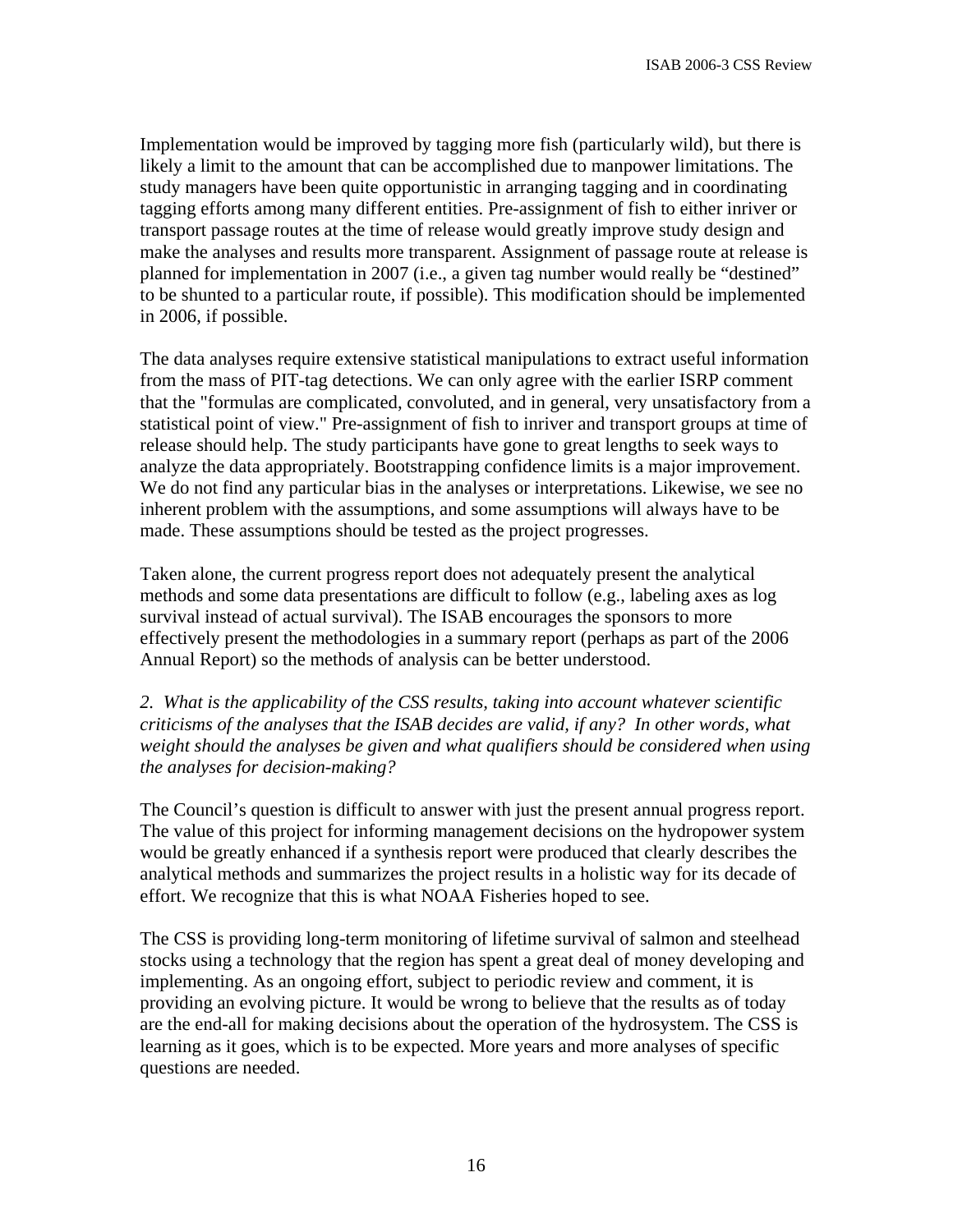Implementation would be improved by tagging more fish (particularly wild), but there is likely a limit to the amount that can be accomplished due to manpower limitations. The study managers have been quite opportunistic in arranging tagging and in coordinating tagging efforts among many different entities. Pre-assignment of fish to either inriver or transport passage routes at the time of release would greatly improve study design and make the analyses and results more transparent. Assignment of passage route at release is planned for implementation in 2007 (i.e., a given tag number would really be "destined" to be shunted to a particular route, if possible). This modification should be implemented in 2006, if possible.

The data analyses require extensive statistical manipulations to extract useful information from the mass of PIT-tag detections. We can only agree with the earlier ISRP comment that the "formulas are complicated, convoluted, and in general, very unsatisfactory from a statistical point of view." Pre-assignment of fish to inriver and transport groups at time of release should help. The study participants have gone to great lengths to seek ways to analyze the data appropriately. Bootstrapping confidence limits is a major improvement. We do not find any particular bias in the analyses or interpretations. Likewise, we see no inherent problem with the assumptions, and some assumptions will always have to be made. These assumptions should be tested as the project progresses.

Taken alone, the current progress report does not adequately present the analytical methods and some data presentations are difficult to follow (e.g., labeling axes as log survival instead of actual survival). The ISAB encourages the sponsors to more effectively present the methodologies in a summary report (perhaps as part of the 2006 Annual Report) so the methods of analysis can be better understood.

*2. What is the applicability of the CSS results, taking into account whatever scientific criticisms of the analyses that the ISAB decides are valid, if any? In other words, what weight should the analyses be given and what qualifiers should be considered when using the analyses for decision-making?* 

The Council's question is difficult to answer with just the present annual progress report. The value of this project for informing management decisions on the hydropower system would be greatly enhanced if a synthesis report were produced that clearly describes the analytical methods and summarizes the project results in a holistic way for its decade of effort. We recognize that this is what NOAA Fisheries hoped to see.

The CSS is providing long-term monitoring of lifetime survival of salmon and steelhead stocks using a technology that the region has spent a great deal of money developing and implementing. As an ongoing effort, subject to periodic review and comment, it is providing an evolving picture. It would be wrong to believe that the results as of today are the end-all for making decisions about the operation of the hydrosystem. The CSS is learning as it goes, which is to be expected. More years and more analyses of specific questions are needed.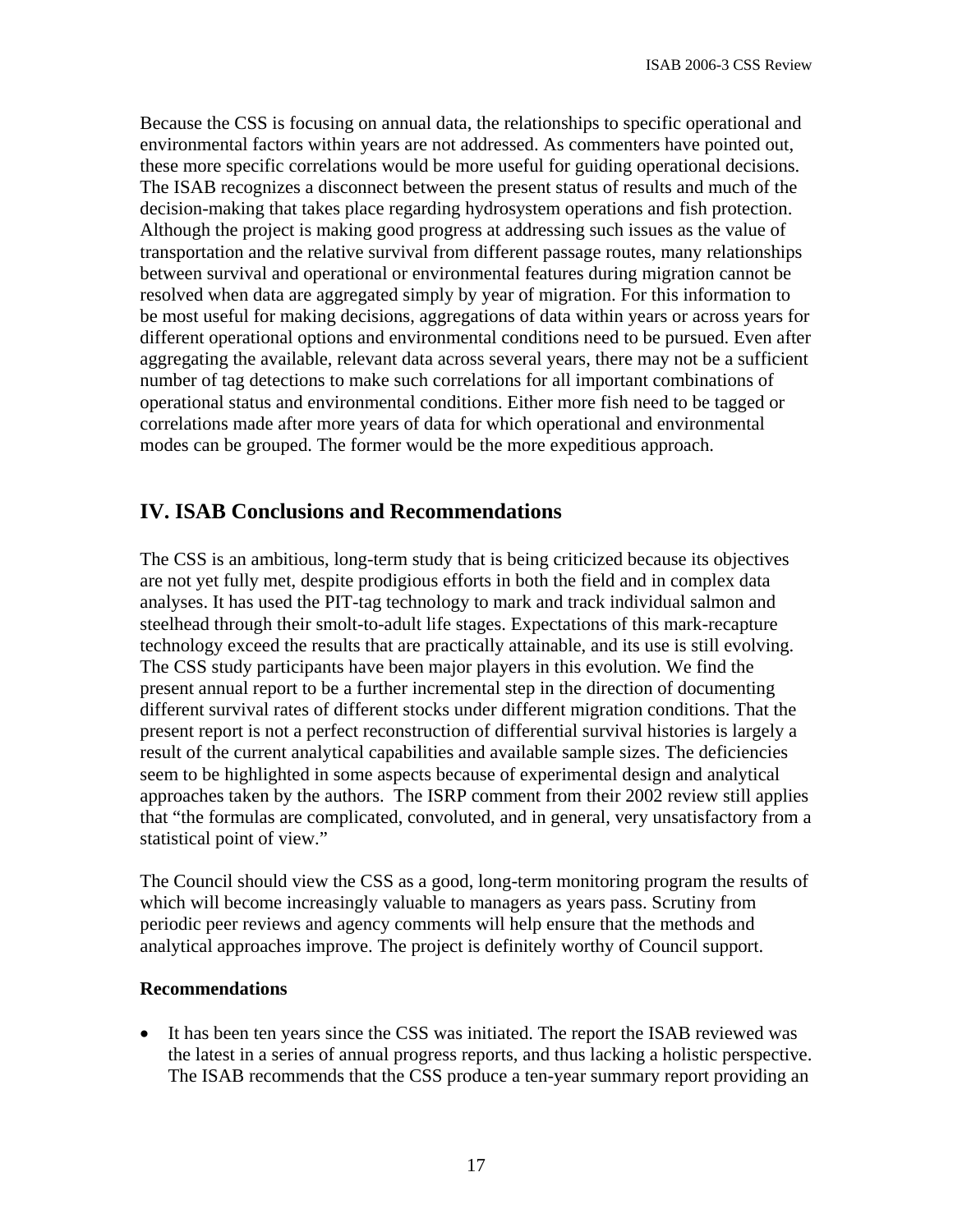Because the CSS is focusing on annual data, the relationships to specific operational and environmental factors within years are not addressed. As commenters have pointed out, these more specific correlations would be more useful for guiding operational decisions. The ISAB recognizes a disconnect between the present status of results and much of the decision-making that takes place regarding hydrosystem operations and fish protection. Although the project is making good progress at addressing such issues as the value of transportation and the relative survival from different passage routes, many relationships between survival and operational or environmental features during migration cannot be resolved when data are aggregated simply by year of migration. For this information to be most useful for making decisions, aggregations of data within years or across years for different operational options and environmental conditions need to be pursued. Even after aggregating the available, relevant data across several years, there may not be a sufficient number of tag detections to make such correlations for all important combinations of operational status and environmental conditions. Either more fish need to be tagged or correlations made after more years of data for which operational and environmental modes can be grouped. The former would be the more expeditious approach.

# **IV. ISAB Conclusions and Recommendations**

The CSS is an ambitious, long-term study that is being criticized because its objectives are not yet fully met, despite prodigious efforts in both the field and in complex data analyses. It has used the PIT-tag technology to mark and track individual salmon and steelhead through their smolt-to-adult life stages. Expectations of this mark-recapture technology exceed the results that are practically attainable, and its use is still evolving. The CSS study participants have been major players in this evolution. We find the present annual report to be a further incremental step in the direction of documenting different survival rates of different stocks under different migration conditions. That the present report is not a perfect reconstruction of differential survival histories is largely a result of the current analytical capabilities and available sample sizes. The deficiencies seem to be highlighted in some aspects because of experimental design and analytical approaches taken by the authors. The ISRP comment from their 2002 review still applies that "the formulas are complicated, convoluted, and in general, very unsatisfactory from a statistical point of view."

The Council should view the CSS as a good, long-term monitoring program the results of which will become increasingly valuable to managers as years pass. Scrutiny from periodic peer reviews and agency comments will help ensure that the methods and analytical approaches improve. The project is definitely worthy of Council support.

#### **Recommendations**

• It has been ten years since the CSS was initiated. The report the ISAB reviewed was the latest in a series of annual progress reports, and thus lacking a holistic perspective. The ISAB recommends that the CSS produce a ten-year summary report providing an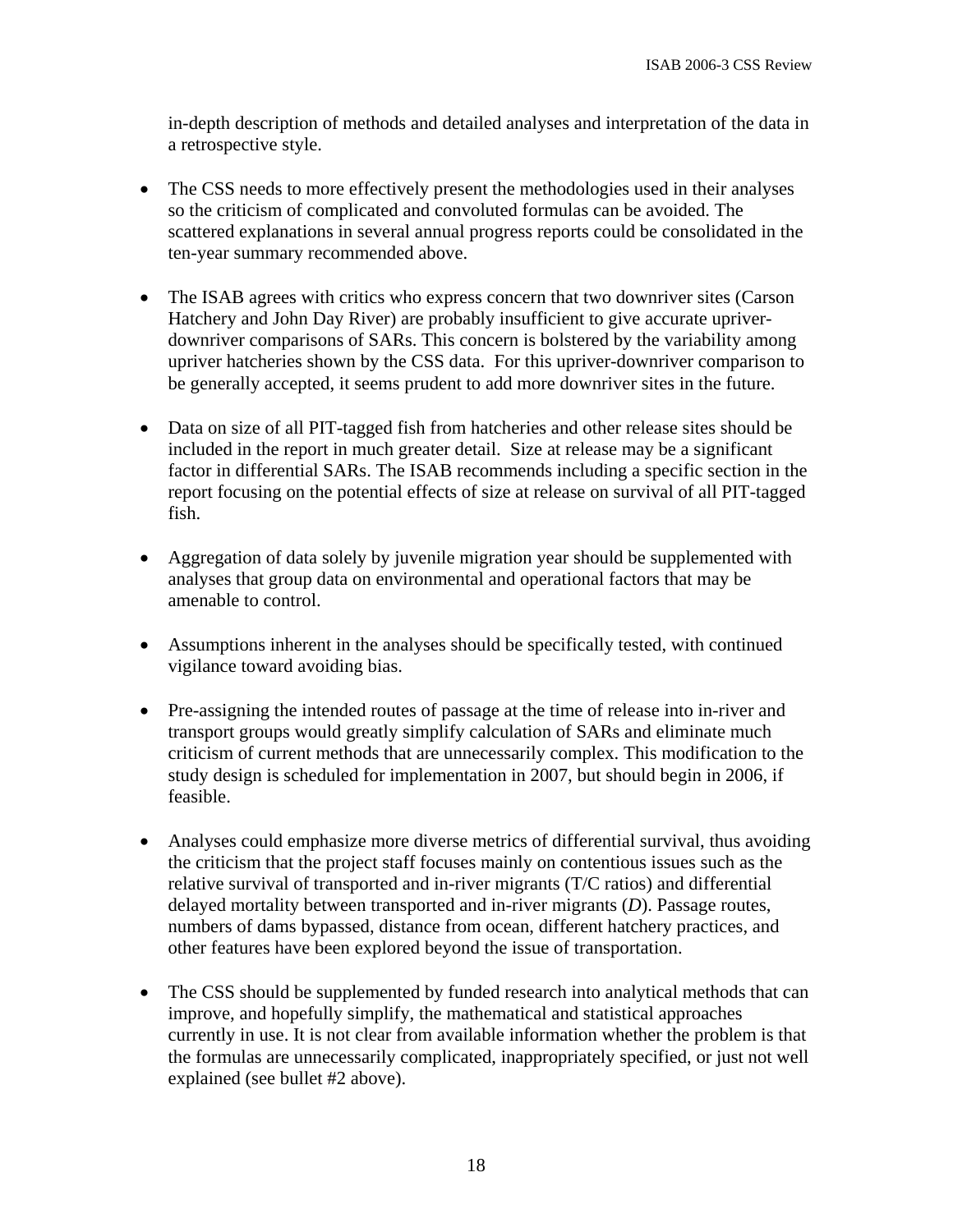in-depth description of methods and detailed analyses and interpretation of the data in a retrospective style.

- The CSS needs to more effectively present the methodologies used in their analyses so the criticism of complicated and convoluted formulas can be avoided. The scattered explanations in several annual progress reports could be consolidated in the ten-year summary recommended above.
- The ISAB agrees with critics who express concern that two downriver sites (Carson Hatchery and John Day River) are probably insufficient to give accurate upriverdownriver comparisons of SARs. This concern is bolstered by the variability among upriver hatcheries shown by the CSS data. For this upriver-downriver comparison to be generally accepted, it seems prudent to add more downriver sites in the future.
- Data on size of all PIT-tagged fish from hatcheries and other release sites should be included in the report in much greater detail. Size at release may be a significant factor in differential SARs. The ISAB recommends including a specific section in the report focusing on the potential effects of size at release on survival of all PIT-tagged fish.
- Aggregation of data solely by juvenile migration year should be supplemented with analyses that group data on environmental and operational factors that may be amenable to control.
- Assumptions inherent in the analyses should be specifically tested, with continued vigilance toward avoiding bias.
- Pre-assigning the intended routes of passage at the time of release into in-river and transport groups would greatly simplify calculation of SARs and eliminate much criticism of current methods that are unnecessarily complex. This modification to the study design is scheduled for implementation in 2007, but should begin in 2006, if feasible.
- Analyses could emphasize more diverse metrics of differential survival, thus avoiding the criticism that the project staff focuses mainly on contentious issues such as the relative survival of transported and in-river migrants (T/C ratios) and differential delayed mortality between transported and in-river migrants (*D*). Passage routes, numbers of dams bypassed, distance from ocean, different hatchery practices, and other features have been explored beyond the issue of transportation.
- The CSS should be supplemented by funded research into analytical methods that can improve, and hopefully simplify, the mathematical and statistical approaches currently in use. It is not clear from available information whether the problem is that the formulas are unnecessarily complicated, inappropriately specified, or just not well explained (see bullet #2 above).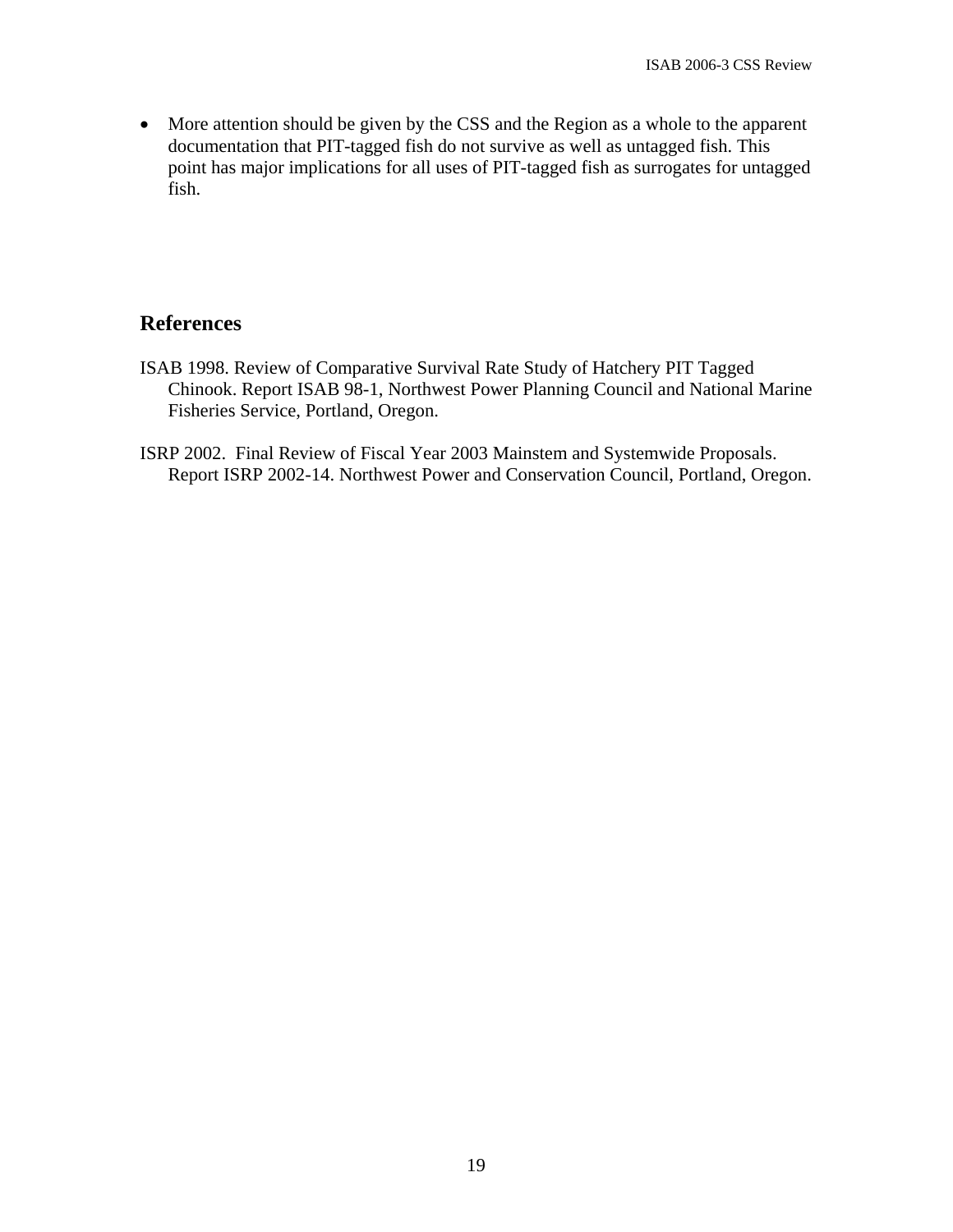• More attention should be given by the CSS and the Region as a whole to the apparent documentation that PIT-tagged fish do not survive as well as untagged fish. This point has major implications for all uses of PIT-tagged fish as surrogates for untagged fish.

## **References**

- ISAB 1998. Review of Comparative Survival Rate Study of Hatchery PIT Tagged Chinook. Report ISAB 98-1, Northwest Power Planning Council and National Marine Fisheries Service, Portland, Oregon.
- ISRP 2002. Final Review of Fiscal Year 2003 Mainstem and Systemwide Proposals. Report ISRP 2002-14. Northwest Power and Conservation Council, Portland, Oregon.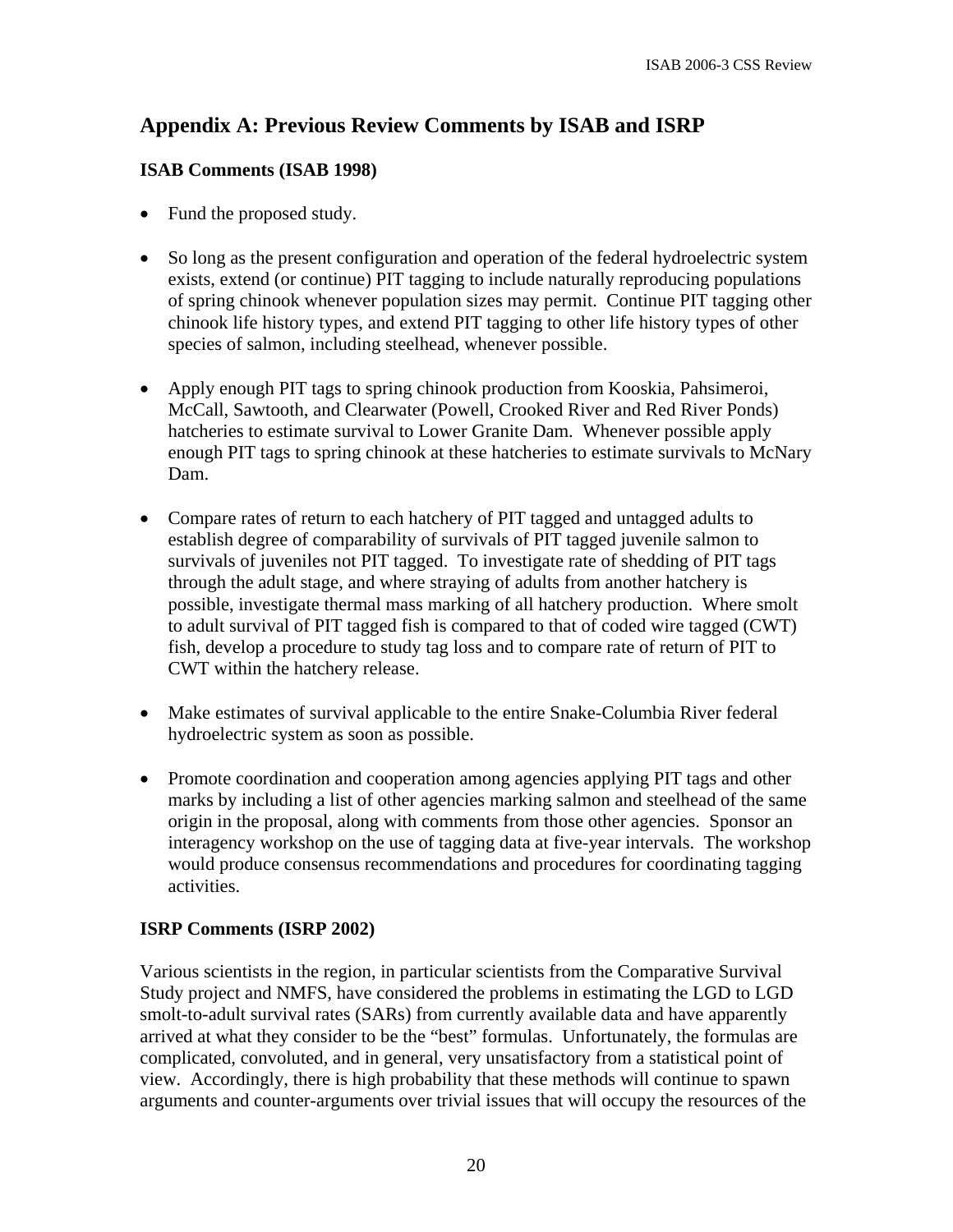# **Appendix A: Previous Review Comments by ISAB and ISRP**

#### **ISAB Comments (ISAB 1998)**

- Fund the proposed study.
- So long as the present configuration and operation of the federal hydroelectric system exists, extend (or continue) PIT tagging to include naturally reproducing populations of spring chinook whenever population sizes may permit. Continue PIT tagging other chinook life history types, and extend PIT tagging to other life history types of other species of salmon, including steelhead, whenever possible.
- Apply enough PIT tags to spring chinook production from Kooskia, Pahsimeroi, McCall, Sawtooth, and Clearwater (Powell, Crooked River and Red River Ponds) hatcheries to estimate survival to Lower Granite Dam. Whenever possible apply enough PIT tags to spring chinook at these hatcheries to estimate survivals to McNary Dam.
- Compare rates of return to each hatchery of PIT tagged and untagged adults to establish degree of comparability of survivals of PIT tagged juvenile salmon to survivals of juveniles not PIT tagged. To investigate rate of shedding of PIT tags through the adult stage, and where straying of adults from another hatchery is possible, investigate thermal mass marking of all hatchery production. Where smolt to adult survival of PIT tagged fish is compared to that of coded wire tagged (CWT) fish, develop a procedure to study tag loss and to compare rate of return of PIT to CWT within the hatchery release.
- Make estimates of survival applicable to the entire Snake-Columbia River federal hydroelectric system as soon as possible.
- Promote coordination and cooperation among agencies applying PIT tags and other marks by including a list of other agencies marking salmon and steelhead of the same origin in the proposal, along with comments from those other agencies. Sponsor an interagency workshop on the use of tagging data at five-year intervals. The workshop would produce consensus recommendations and procedures for coordinating tagging activities.

## **ISRP Comments (ISRP 2002)**

Various scientists in the region, in particular scientists from the Comparative Survival Study project and NMFS, have considered the problems in estimating the LGD to LGD smolt-to-adult survival rates (SARs) from currently available data and have apparently arrived at what they consider to be the "best" formulas. Unfortunately, the formulas are complicated, convoluted, and in general, very unsatisfactory from a statistical point of view. Accordingly, there is high probability that these methods will continue to spawn arguments and counter-arguments over trivial issues that will occupy the resources of the